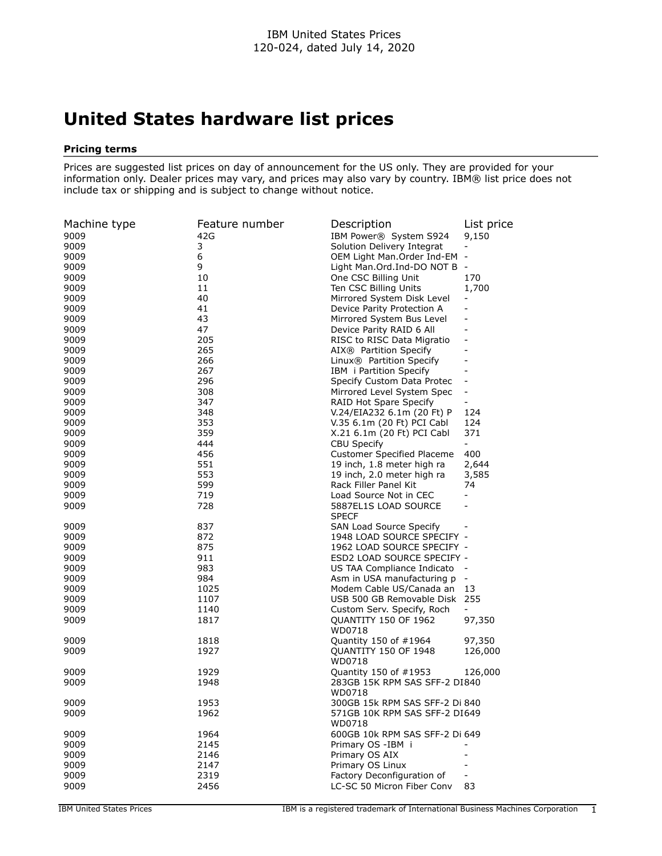## **United States hardware list prices**

## **Pricing terms**

Prices are suggested list prices on day of announcement for the US only. They are provided for your information only. Dealer prices may vary, and prices may also vary by country. IBM® list price does not include tax or shipping and is subject to change without notice.

| Machine type | Feature number | Description                                           | List price                   |
|--------------|----------------|-------------------------------------------------------|------------------------------|
| 9009         | 42G            | IBM Power® System S924                                | 9,150                        |
| 9009         | 3              | Solution Delivery Integrat                            | $\overline{\phantom{a}}$     |
| 9009         | 6              | OEM Light Man.Order Ind-EM -                          |                              |
| 9009         | 9              | Light Man.Ord.Ind-DO NOT B                            | $\overline{\phantom{a}}$     |
| 9009         | 10             | One CSC Billing Unit                                  | 170                          |
| 9009         | 11             | Ten CSC Billing Units                                 | 1,700                        |
| 9009         | 40             | Mirrored System Disk Level                            | $\overline{\phantom{a}}$     |
| 9009         | 41             | Device Parity Protection A                            | $\overline{\phantom{a}}$     |
| 9009         | 43             | Mirrored System Bus Level                             | $\qquad \qquad \blacksquare$ |
| 9009         | 47             | Device Parity RAID 6 All                              | $\blacksquare$               |
| 9009         | 205            | RISC to RISC Data Migratio                            | $\overline{\phantom{a}}$     |
| 9009         | 265            | AIX® Partition Specify                                |                              |
| 9009         | 266            | Linux® Partition Specify                              |                              |
| 9009         | 267            | IBM i Partition Specify                               | $\qquad \qquad \blacksquare$ |
| 9009         | 296            | Specify Custom Data Protec                            | $\overline{\phantom{a}}$     |
| 9009         | 308            | Mirrored Level System Spec                            | $\overline{\phantom{a}}$     |
| 9009         | 347            | RAID Hot Spare Specify                                |                              |
| 9009         | 348            | V.24/EIA232 6.1m (20 Ft) P                            | 124                          |
| 9009         | 353            | V.35 6.1m (20 Ft) PCI Cabl                            | 124                          |
| 9009         | 359            | X.21 6.1m (20 Ft) PCI Cabl                            | 371                          |
| 9009         | 444            | <b>CBU Specify</b>                                    | $\blacksquare$               |
| 9009         | 456            | <b>Customer Specified Placeme</b>                     | 400                          |
| 9009         | 551            | 19 inch, 1.8 meter high ra                            | 2,644                        |
| 9009         | 553            | 19 inch, 2.0 meter high ra                            | 3,585                        |
| 9009         | 599            | Rack Filler Panel Kit                                 | 74                           |
| 9009         | 719            | Load Source Not in CEC                                | $\blacksquare$               |
| 9009         | 728            | 5887EL1S LOAD SOURCE                                  |                              |
| 9009         | 837            | <b>SPECF</b>                                          |                              |
| 9009         | 872            | SAN Load Source Specify<br>1948 LOAD SOURCE SPECIFY - |                              |
| 9009         | 875            | 1962 LOAD SOURCE SPECIFY -                            |                              |
| 9009         | 911            | ESD2 LOAD SOURCE SPECIFY -                            |                              |
| 9009         | 983            | US TAA Compliance Indicato                            |                              |
| 9009         | 984            | Asm in USA manufacturing p                            | $\overline{\phantom{a}}$     |
| 9009         | 1025           | Modem Cable US/Canada an                              | 13                           |
| 9009         | 1107           | USB 500 GB Removable Disk                             | 255                          |
| 9009         | 1140           | Custom Serv. Specify, Roch                            | $\blacksquare$               |
| 9009         | 1817           | QUANTITY 150 OF 1962                                  | 97,350                       |
|              |                | WD0718                                                |                              |
| 9009         | 1818           | Quantity 150 of #1964                                 | 97,350                       |
| 9009         | 1927           | <b>OUANTITY 150 OF 1948</b>                           | 126,000                      |
|              |                | WD0718                                                |                              |
| 9009         | 1929           | Quantity 150 of $\#1953$                              | 126,000                      |
| 9009         | 1948           | 283GB 15K RPM SAS SFF-2 DI840                         |                              |
|              |                | WD0718                                                |                              |
| 9009         | 1953           | 300GB 15k RPM SAS SFF-2 Di 840                        |                              |
| 9009         | 1962           | 571GB 10K RPM SAS SFF-2 DI649                         |                              |
|              |                | WD0718                                                |                              |
| 9009         | 1964           | 600GB 10k RPM SAS SFF-2 Di 649                        |                              |
| 9009         | 2145           | Primary OS -IBM i                                     |                              |
| 9009         | 2146           | Primary OS AIX                                        | $\sim$                       |
| 9009         | 2147           | Primary OS Linux                                      |                              |
| 9009         | 2319           | Factory Deconfiguration of                            | $\overline{\phantom{0}}$     |
| 9009         | 2456           | LC-SC 50 Micron Fiber Conv                            | 83                           |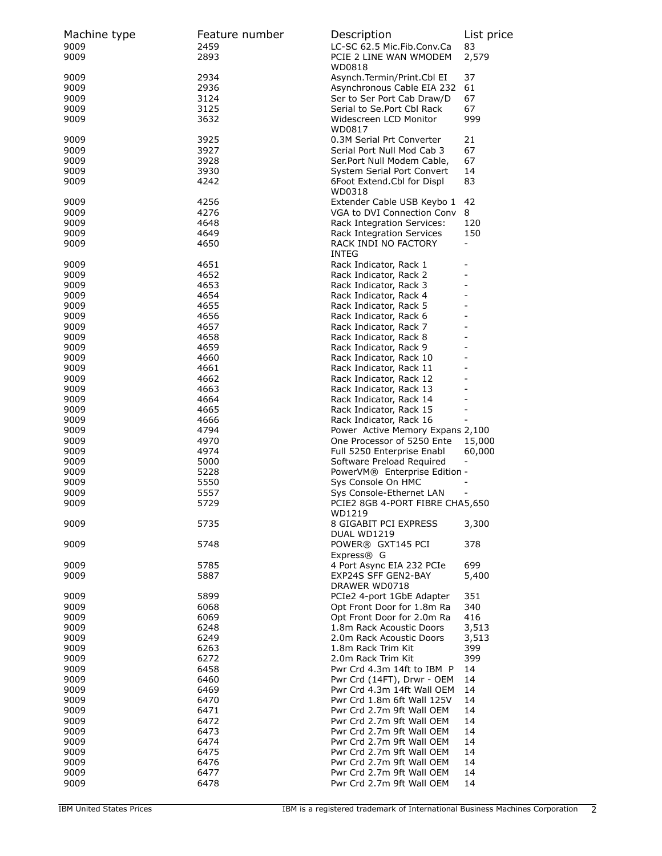| Machine type | Feature number | Description                                                    | List price                       |
|--------------|----------------|----------------------------------------------------------------|----------------------------------|
| 9009<br>9009 | 2459<br>2893   | LC-SC 62.5 Mic.Fib.Conv.Ca<br>PCIE 2 LINE WAN WMODEM<br>WD0818 | 83<br>2,579                      |
| 9009         | 2934           | Asynch.Termin/Print.Cbl EI                                     | 37                               |
| 9009         | 2936           | Asynchronous Cable EIA 232                                     | 61                               |
| 9009         | 3124           | Ser to Ser Port Cab Draw/D                                     | 67                               |
| 9009         | 3125           | Serial to Se.Port Cbl Rack                                     | 67                               |
| 9009         | 3632           | Widescreen LCD Monitor                                         | 999                              |
| 9009         | 3925           | WD0817<br>0.3M Serial Prt Converter                            | 21                               |
| 9009         | 3927           | Serial Port Null Mod Cab 3                                     | 67                               |
| 9009         | 3928           | Ser.Port Null Modem Cable,                                     | 67                               |
| 9009         | 3930           | System Serial Port Convert                                     | 14                               |
| 9009         | 4242           | 6Foot Extend.Cbl for Displ<br>WD0318                           | 83                               |
| 9009         | 4256           | Extender Cable USB Keybo 1                                     | 42                               |
| 9009         | 4276           | VGA to DVI Connection Conv                                     | 8                                |
| 9009         | 4648           | Rack Integration Services:                                     | 120                              |
| 9009         | 4649           | Rack Integration Services                                      | 150                              |
| 9009         | 4650           | RACK INDI NO FACTORY<br><b>INTEG</b>                           | $\overline{\phantom{0}}$         |
| 9009         | 4651           | Rack Indicator, Rack 1                                         |                                  |
| 9009         | 4652           | Rack Indicator, Rack 2                                         | $\overline{a}$                   |
| 9009         | 4653           | Rack Indicator, Rack 3                                         | $\overline{\phantom{0}}$         |
| 9009         | 4654           | Rack Indicator, Rack 4                                         | $\overline{a}$                   |
| 9009         | 4655           | Rack Indicator, Rack 5                                         |                                  |
| 9009         | 4656           | Rack Indicator, Rack 6                                         | $\overline{a}$<br>$\overline{a}$ |
| 9009<br>9009 | 4657<br>4658   | Rack Indicator, Rack 7<br>Rack Indicator, Rack 8               | $\overline{\phantom{0}}$         |
| 9009         | 4659           | Rack Indicator, Rack 9                                         | $\overline{a}$                   |
| 9009         | 4660           | Rack Indicator, Rack 10                                        |                                  |
| 9009         | 4661           | Rack Indicator, Rack 11                                        | $\overline{\phantom{0}}$         |
| 9009         | 4662           | Rack Indicator, Rack 12                                        | ۳                                |
| 9009         | 4663           | Rack Indicator, Rack 13                                        | $\overline{\phantom{0}}$         |
| 9009         | 4664           | Rack Indicator, Rack 14                                        | $\overline{a}$                   |
| 9009         | 4665           | Rack Indicator, Rack 15                                        | -                                |
| 9009         | 4666           | Rack Indicator, Rack 16                                        |                                  |
| 9009         | 4794           | Power Active Memory Expans 2,100                               |                                  |
| 9009<br>9009 | 4970<br>4974   | One Processor of 5250 Ente<br>Full 5250 Enterprise Enabl       | 15,000<br>60,000                 |
| 9009         | 5000           | Software Preload Required                                      |                                  |
| 9009         | 5228           | PowerVM® Enterprise Edition -                                  |                                  |
| 9009         | 5550           | Sys Console On HMC                                             |                                  |
| 9009         | 5557           | Sys Console-Ethernet LAN                                       |                                  |
| 9009         | 5729           | PCIE2 8GB 4-PORT FIBRE CHA5,650<br>WD1219                      |                                  |
| 9009         | 5735           | 8 GIGABIT PCI EXPRESS<br>DUAL WD1219                           | 3,300                            |
| 9009         | 5748           | POWER® GXT145 PCI<br>Express® G                                | 378                              |
| 9009         | 5785           | 4 Port Async EIA 232 PCIe                                      | 699                              |
| 9009         | 5887           | EXP24S SFF GEN2-BAY<br>DRAWER WD0718                           | 5,400                            |
| 9009         | 5899           | PCIe2 4-port 1GbE Adapter                                      | 351                              |
| 9009         | 6068           | Opt Front Door for 1.8m Ra                                     | 340                              |
| 9009         | 6069           | Opt Front Door for 2.0m Ra                                     | 416                              |
| 9009         | 6248           | 1.8m Rack Acoustic Doors                                       | 3,513                            |
| 9009         | 6249           | 2.0m Rack Acoustic Doors                                       | 3,513                            |
| 9009         | 6263           | 1.8m Rack Trim Kit                                             | 399                              |
| 9009         | 6272           | 2.0m Rack Trim Kit                                             | 399                              |
| 9009         | 6458           | Pwr Crd 4.3m 14ft to IBM P                                     | 14                               |
| 9009         | 6460           | Pwr Crd (14FT), Drwr - OEM                                     | 14                               |
| 9009         | 6469           | Pwr Crd 4.3m 14ft Wall OEM                                     | 14                               |
| 9009<br>9009 | 6470<br>6471   | Pwr Crd 1.8m 6ft Wall 125V<br>Pwr Crd 2.7m 9ft Wall OEM        | 14                               |
| 9009         | 6472           | Pwr Crd 2.7m 9ft Wall OEM                                      | 14<br>14                         |
| 9009         | 6473           | Pwr Crd 2.7m 9ft Wall OEM                                      | 14                               |
| 9009         | 6474           | Pwr Crd 2.7m 9ft Wall OEM                                      | 14                               |
| 9009         | 6475           | Pwr Crd 2.7m 9ft Wall OEM                                      | 14                               |
| 9009         | 6476           | Pwr Crd 2.7m 9ft Wall OEM                                      | 14                               |
| 9009         | 6477           | Pwr Crd 2.7m 9ft Wall OEM                                      | 14                               |
| 9009         | 6478           | Pwr Crd 2.7m 9ft Wall OEM                                      | 14                               |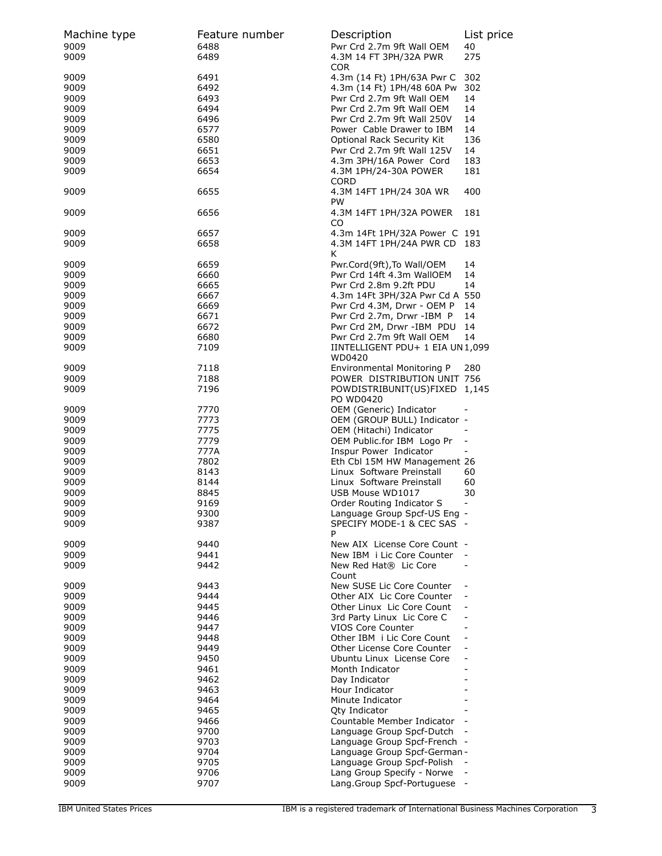| Machine type<br>9009<br>9009 | Feature number<br>6488<br>6489 | Description<br>Pwr Crd 2.7m 9ft Wall OEM<br>4.3M 14 FT 3PH/32A PWR     | List price<br>40<br>275  |
|------------------------------|--------------------------------|------------------------------------------------------------------------|--------------------------|
| 9009<br>9009                 | 6491<br>6492                   | <b>COR</b><br>4.3m (14 Ft) 1PH/63A Pwr C<br>4.3m (14 Ft) 1PH/48 60A Pw | 302<br>302               |
| 9009                         | 6493                           | Pwr Crd 2.7m 9ft Wall OEM                                              | 14                       |
| 9009                         | 6494                           | Pwr Crd 2.7m 9ft Wall OEM                                              | 14                       |
| 9009                         | 6496                           | Pwr Crd 2.7m 9ft Wall 250V                                             | 14                       |
| 9009                         | 6577                           | Power Cable Drawer to IBM                                              | 14                       |
| 9009                         | 6580                           | Optional Rack Security Kit                                             | 136                      |
| 9009                         | 6651                           | Pwr Crd 2.7m 9ft Wall 125V                                             | 14                       |
| 9009<br>9009                 | 6653<br>6654                   | 4.3m 3PH/16A Power Cord<br>4.3M 1PH/24-30A POWER<br><b>CORD</b>        | 183<br>181               |
| 9009                         | 6655                           | 4.3M 14FT 1PH/24 30A WR<br>PW                                          | 400                      |
| 9009                         | 6656                           | 4.3M 14FT 1PH/32A POWER<br>CO                                          | 181                      |
| 9009                         | 6657                           | 4.3m 14Ft 1PH/32A Power C 191                                          |                          |
| 9009                         | 6658                           | 4.3M 14FT 1PH/24A PWR CD<br>K                                          | 183                      |
| 9009                         | 6659                           | Pwr.Cord(9ft), To Wall/OEM                                             | 14                       |
| 9009                         | 6660                           | Pwr Crd 14ft 4.3m WallOEM                                              | 14                       |
| 9009                         | 6665                           | Pwr Crd 2.8m 9.2ft PDU                                                 | 14                       |
| 9009                         | 6667                           | 4.3m 14Ft 3PH/32A Pwr Cd A 550                                         |                          |
| 9009                         | 6669                           | Pwr Crd 4.3M, Drwr - OEM P                                             | 14                       |
| 9009                         | 6671                           | Pwr Crd 2.7m, Drwr -IBM P                                              | 14                       |
| 9009                         | 6672                           | Pwr Crd 2M, Drwr -IBM PDU                                              | 14                       |
| 9009                         | 6680                           | Pwr Crd 2.7m 9ft Wall OEM                                              | 14                       |
| 9009                         | 7109                           | IINTELLIGENT PDU+ 1 EIA UN1,099<br>WD0420                              |                          |
| 9009                         | 7118                           | Environmental Monitoring P                                             | 280                      |
| 9009                         | 7188                           | POWER DISTRIBUTION UNIT 756                                            |                          |
| 9009                         | 7196                           | POWDISTRIBUNIT(US)FIXED 1,145<br>PO WD0420                             |                          |
| 9009                         | 7770                           | OEM (Generic) Indicator                                                |                          |
| 9009                         | 7773                           | OEM (GROUP BULL) Indicator -                                           |                          |
| 9009                         | 7775                           | OEM (Hitachi) Indicator                                                |                          |
| 9009                         | 7779                           | OEM Public.for IBM Logo Pr                                             | $\overline{\phantom{0}}$ |
| 9009                         | 777A                           | Inspur Power Indicator                                                 |                          |
| 9009                         | 7802                           | Eth Cbl 15M HW Management 26                                           |                          |
| 9009                         | 8143                           | Linux Software Preinstall                                              | 60                       |
| 9009                         | 8144                           | Linux Software Preinstall                                              | 60                       |
| 9009                         | 8845                           | USB Mouse WD1017                                                       | 30                       |
| 9009                         | 9169                           | Order Routing Indicator S                                              | $\frac{1}{2}$            |
| 9009                         | 9300                           | Language Group Spcf-US Eng                                             |                          |
| 9009                         | 9387                           | SPECIFY MODE-1 & CEC SAS -<br>P                                        |                          |
| 9009                         | 9440                           | New AIX License Core Count -                                           |                          |
| 9009                         | 9441                           | New IBM i Lic Core Counter                                             |                          |
| 9009                         | 9442                           | New Red Hat® Lic Core<br>Count                                         |                          |
| 9009                         | 9443                           | New SUSE Lic Core Counter                                              |                          |
| 9009                         | 9444                           | Other AIX Lic Core Counter                                             |                          |
| 9009                         | 9445                           | Other Linux Lic Core Count                                             |                          |
| 9009                         | 9446                           | 3rd Party Linux Lic Core C                                             |                          |
| 9009                         | 9447                           | <b>VIOS Core Counter</b>                                               | $\blacksquare$           |
| 9009                         | 9448                           | Other IBM i Lic Core Count                                             | $\overline{\phantom{a}}$ |
| 9009                         | 9449                           | Other License Core Counter                                             | $\overline{\phantom{0}}$ |
| 9009                         | 9450                           | Ubuntu Linux License Core                                              | $\overline{\phantom{0}}$ |
| 9009                         | 9461                           | Month Indicator                                                        | $\overline{\phantom{0}}$ |
| 9009                         | 9462                           | Day Indicator                                                          | $\overline{\phantom{0}}$ |
| 9009                         | 9463                           | Hour Indicator                                                         |                          |
| 9009                         | 9464                           | Minute Indicator                                                       |                          |
| 9009                         | 9465                           | <b>Qty Indicator</b>                                                   |                          |
| 9009                         | 9466                           | Countable Member Indicator                                             | $\overline{\phantom{a}}$ |
| 9009                         | 9700                           | Language Group Spcf-Dutch                                              | $\overline{\phantom{a}}$ |
| 9009                         | 9703                           | Language Group Spcf-French -                                           |                          |
| 9009                         | 9704                           | Language Group Spcf-German -                                           |                          |
| 9009                         | 9705                           | Language Group Spcf-Polish                                             |                          |
| 9009                         | 9706                           | Lang Group Specify - Norwe                                             |                          |
| 9009                         | 9707                           | Lang.Group Spcf-Portuguese                                             |                          |
|                              |                                |                                                                        |                          |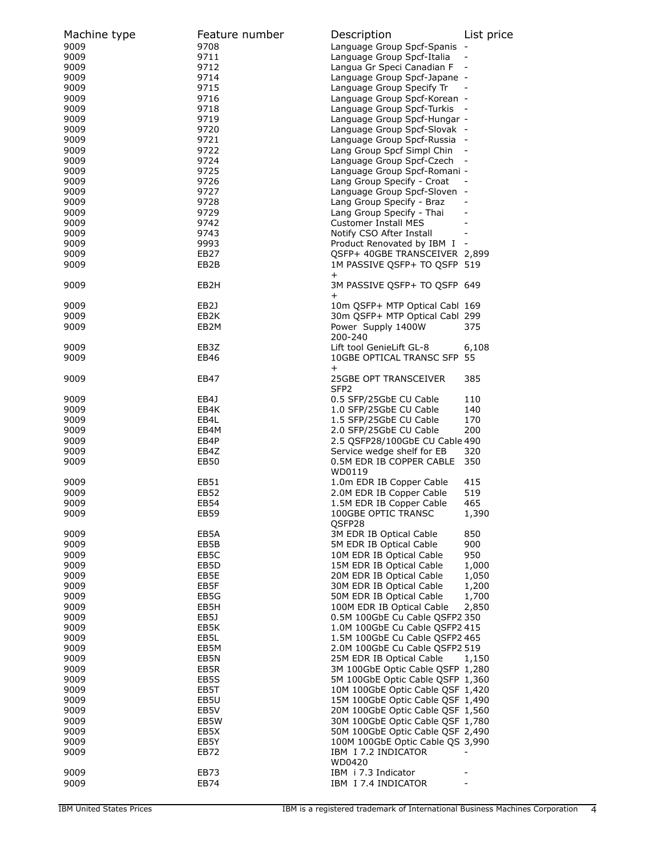| Machine type | Feature number    | Description                      | List price |
|--------------|-------------------|----------------------------------|------------|
| 9009         | 9708              | Language Group Spcf-Spanis       |            |
| 9009         | 9711              | Language Group Spcf-Italia       |            |
| 9009         | 9712              | Langua Gr Speci Canadian F       |            |
| 9009         | 9714              | Language Group Spcf-Japane -     |            |
| 9009         | 9715              | Language Group Specify Tr        |            |
| 9009         | 9716              | Language Group Spcf-Korean -     |            |
| 9009         | 9718              | Language Group Spcf-Turkis       |            |
| 9009         | 9719              | Language Group Spcf-Hungar -     |            |
| 9009         | 9720              | Language Group Spcf-Slovak -     |            |
| 9009         | 9721              | Language Group Spcf-Russia -     |            |
| 9009         | 9722              | Lang Group Spcf Simpl Chin       |            |
| 9009         | 9724              | Language Group Spcf-Czech        |            |
| 9009         | 9725              | Language Group Spcf-Romani -     |            |
| 9009         | 9726              | Lang Group Specify - Croat       |            |
| 9009         | 9727              | Language Group Spcf-Sloven -     |            |
| 9009         | 9728              | Lang Group Specify - Braz        |            |
| 9009         | 9729              | Lang Group Specify - Thai        |            |
| 9009         | 9742              | <b>Customer Install MES</b>      |            |
| 9009         | 9743              | Notify CSO After Install         |            |
| 9009         | 9993              | Product Renovated by IBM I -     |            |
| 9009         | <b>EB27</b>       | QSFP+ 40GBE TRANSCEIVER 2,899    |            |
| 9009         | EB2B              | 1M PASSIVE OSFP+ TO OSFP 519     |            |
|              |                   | $^+$                             |            |
| 9009         | EB <sub>2</sub> H | 3M PASSIVE QSFP+ TO QSFP 649     |            |
|              |                   | $\pm$                            |            |
| 9009         | EB2J              | 10m QSFP+ MTP Optical Cabl 169   |            |
| 9009         | EB2K              | 30m QSFP+ MTP Optical Cabl 299   |            |
| 9009         | EB2M              | Power Supply 1400W               | 375        |
|              |                   | 200-240                          |            |
| 9009         | EB3Z              | Lift tool GenieLift GL-8         | 6,108      |
| 9009         | EB46              | 10GBE OPTICAL TRANSC SFP 55      |            |
|              |                   | $\pm$                            |            |
| 9009         | EB47              | 25GBE OPT TRANSCEIVER            | 385        |
|              |                   | SFP <sub>2</sub>                 |            |
| 9009         | EB4J              | 0.5 SFP/25GbE CU Cable           | 110        |
| 9009         | EB4K              | 1.0 SFP/25GbE CU Cable           | 140        |
| 9009         | EB4L              | 1.5 SFP/25GbE CU Cable           | 170        |
| 9009         | EB4M              | 2.0 SFP/25GbE CU Cable           | 200        |
| 9009         | EB4P              | 2.5 QSFP28/100GbE CU Cable 490   |            |
| 9009         | EB4Z              | Service wedge shelf for EB       | 320        |
| 9009         | <b>EB50</b>       | 0.5M EDR IB COPPER CABLE         | 350        |
|              |                   | WD0119                           |            |
| 9009         | EB51              | 1.0m EDR IB Copper Cable         | 415        |
| 9009         | EB52              | 2.0M EDR IB Copper Cable         | 519        |
| 9009         | EB54              | 1.5M EDR IB Copper Cable         | 465        |
| 9009         | EB59              | 100GBE OPTIC TRANSC              | 1,390      |
|              |                   | QSFP28                           |            |
| 9009         | EB5A              | 3M EDR IB Optical Cable          | 850        |
| 9009         | EB5B              | 5M EDR IB Optical Cable          | 900        |
| 9009         | EB5C              | 10M EDR IB Optical Cable         | 950        |
| 9009         | EB5D              | 15M EDR IB Optical Cable         | 1,000      |
| 9009         | EB5E              | 20M EDR IB Optical Cable         | 1,050      |
| 9009         | EB5F              | 30M EDR IB Optical Cable         | 1,200      |
| 9009         | EB5G              | 50M EDR IB Optical Cable         | 1,700      |
| 9009         | EB5H              | 100M EDR IB Optical Cable        | 2,850      |
| 9009         | EB5J              | 0.5M 100GbE Cu Cable QSFP2 350   |            |
| 9009         | EB5K              | 1.0M 100GbE Cu Cable QSFP2 415   |            |
| 9009         | EB5L              | 1.5M 100GbE Cu Cable QSFP2 465   |            |
| 9009         | EB5M              | 2.0M 100GbE Cu Cable QSFP2 519   |            |
| 9009         | EB5N              | 25M EDR IB Optical Cable         | 1,150      |
| 9009         | EB5R              | 3M 100GbE Optic Cable QSFP 1,280 |            |
| 9009         | EB5S              | 5M 100GbE Optic Cable QSFP 1,360 |            |
| 9009         | EB5T              | 10M 100GbE Optic Cable QSF 1,420 |            |
| 9009         | EB5U              | 15M 100GbE Optic Cable QSF 1,490 |            |
| 9009         | EB5V              | 20M 100GbE Optic Cable QSF 1,560 |            |
| 9009         | EB5W              | 30M 100GbE Optic Cable QSF 1,780 |            |
| 9009         | EB5X              | 50M 100GbE Optic Cable QSF 2,490 |            |
| 9009         | EB5Y              | 100M 100GbE Optic Cable QS 3,990 |            |
| 9009         | EB72              | IBM I 7.2 INDICATOR              |            |
|              |                   | WD0420                           |            |
| 9009         | EB73              | IBM i 7.3 Indicator              |            |
| 9009         | EB74              | IBM I 7.4 INDICATOR              |            |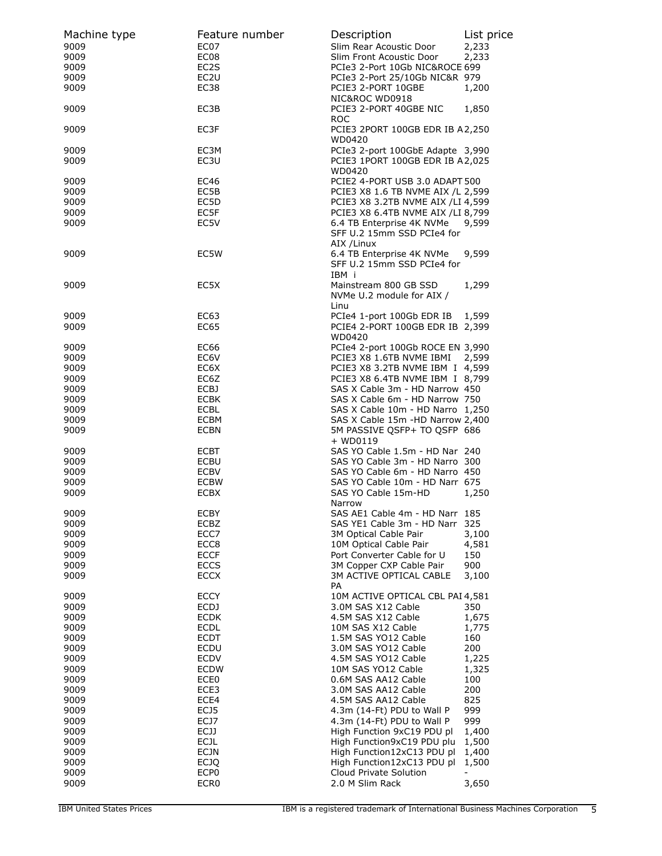| Machine type | Feature number    | Description                                                                   | List price |
|--------------|-------------------|-------------------------------------------------------------------------------|------------|
| 9009         | EC07              | Slim Rear Acoustic Door                                                       | 2,233      |
| 9009         | EC08              | Slim Front Acoustic Door                                                      | 2,233      |
| 9009         | EC <sub>2</sub> S | PCIe3 2-Port 10Gb NIC&ROCE 699                                                |            |
| 9009         | EC <sub>2</sub> U | PCIe3 2-Port 25/10Gb NIC&R 979                                                |            |
| 9009         | EC38              | PCIE3 2-PORT 10GBE<br>NIC&ROC WD0918                                          | 1,200      |
| 9009         | EC3B              | PCIE3 2-PORT 40GBE NIC<br><b>ROC</b>                                          | 1,850      |
| 9009         | EC3F              | PCIE3 2PORT 100GB EDR IB A2,250<br>WD0420                                     |            |
| 9009<br>9009 | EC3M<br>EC3U      | PCIe3 2-port 100GbE Adapte 3,990<br>PCIE3 1PORT 100GB EDR IB A2,025<br>WD0420 |            |
| 9009         | <b>EC46</b>       | PCIE2 4-PORT USB 3.0 ADAPT 500                                                |            |
| 9009         | EC5B              | PCIE3 X8 1.6 TB NVME AIX /L 2,599                                             |            |
| 9009         | EC5D              | PCIE3 X8 3.2TB NVME AIX /LI 4,599                                             |            |
| 9009         | EC5F              | PCIE3 X8 6.4TB NVME AIX /LI 8,799                                             |            |
| 9009         | EC5V              | 6.4 TB Enterprise 4K NVMe                                                     | 9,599      |
|              |                   | SFF U.2 15mm SSD PCIe4 for<br>AIX / Linux                                     |            |
| 9009         | EC5W              | 6.4 TB Enterprise 4K NVMe                                                     | 9,599      |
|              |                   | SFF U.2 15mm SSD PCIe4 for<br>IBM i                                           |            |
| 9009         | EC5X              | Mainstream 800 GB SSD                                                         | 1,299      |
|              |                   | NVMe U.2 module for AIX /                                                     |            |
|              |                   | Linu                                                                          |            |
| 9009         | EC63              | PCIe4 1-port 100Gb EDR IB                                                     | 1,599      |
| 9009         | EC65              | PCIE4 2-PORT 100GB EDR IB 2,399                                               |            |
|              |                   | WD0420                                                                        |            |
| 9009         | EC66              | PCIe4 2-port 100Gb ROCE EN 3,990                                              |            |
| 9009         | EC6V              | PCIE3 X8 1.6TB NVME IBMI                                                      | 2,599      |
| 9009         | EC6X              | PCIE3 X8 3.2TB NVME IBM I 4,599                                               |            |
| 9009         | EC6Z              | PCIE3 X8 6.4TB NVME IBM I 8,799                                               |            |
| 9009         | ECBJ              | SAS X Cable 3m - HD Narrow 450                                                |            |
| 9009         | <b>ECBK</b>       | SAS X Cable 6m - HD Narrow 750                                                |            |
| 9009         | ECBL              | SAS X Cable 10m - HD Narro 1,250                                              |            |
| 9009         | ECBM              | SAS X Cable 15m -HD Narrow 2,400                                              |            |
| 9009         | <b>ECBN</b>       | 5M PASSIVE QSFP+ TO QSFP 686                                                  |            |
|              |                   | $+$ WD0119                                                                    |            |
| 9009         | <b>ECBT</b>       | SAS YO Cable 1.5m - HD Nar 240                                                |            |
| 9009         | ECBU              | SAS YO Cable 3m - HD Narro 300                                                |            |
| 9009         | <b>ECBV</b>       | SAS YO Cable 6m - HD Narro 450                                                |            |
|              |                   |                                                                               |            |
| 9009         | <b>ECBW</b>       | SAS YO Cable 10m - HD Narr 675                                                |            |
| 9009         | <b>ECBX</b>       | SAS YO Cable 15m-HD                                                           | 1,250      |
|              |                   | Narrow                                                                        |            |
| 9009         | ECBY              | SAS AE1 Cable 4m - HD Narr 185                                                |            |
| 9009         | ECBZ              | SAS YE1 Cable 3m - HD Narr 325                                                |            |
| 9009         | ECC7              | 3M Optical Cable Pair                                                         | 3,100      |
| 9009         | ECC8              | 10M Optical Cable Pair                                                        | 4,581      |
| 9009         | <b>ECCF</b>       | Port Converter Cable for U                                                    | 150        |
| 9009         | <b>ECCS</b>       | 3M Copper CXP Cable Pair                                                      | 900        |
| 9009         | <b>ECCX</b>       | 3M ACTIVE OPTICAL CABLE                                                       | 3,100      |
|              |                   | PA                                                                            |            |
| 9009         | <b>ECCY</b>       | 10M ACTIVE OPTICAL CBL PAI 4,581                                              |            |
| 9009         | <b>ECDJ</b>       | 3.0M SAS X12 Cable                                                            | 350        |
| 9009         | <b>ECDK</b>       | 4.5M SAS X12 Cable                                                            | 1,675      |
| 9009         | <b>ECDL</b>       | 10M SAS X12 Cable                                                             | 1,775      |
| 9009         | <b>ECDT</b>       | 1.5M SAS YO12 Cable                                                           | 160        |
| 9009         | <b>ECDU</b>       | 3.0M SAS YO12 Cable                                                           | 200        |
| 9009         | <b>ECDV</b>       | 4.5M SAS YO12 Cable                                                           | 1,225      |
| 9009         | <b>ECDW</b>       | 10M SAS YO12 Cable                                                            | 1,325      |
| 9009         | ECE <sub>0</sub>  | 0.6M SAS AA12 Cable                                                           | 100        |
| 9009         | ECE3              | 3.0M SAS AA12 Cable                                                           | 200        |
| 9009         | ECE4              | 4.5M SAS AA12 Cable                                                           | 825        |
| 9009         | ECJ5              | 4.3m (14-Ft) PDU to Wall P                                                    | 999        |
| 9009         | ECJ7              | 4.3m (14-Ft) PDU to Wall P                                                    | 999        |
| 9009         | ECJJ              | High Function 9xC19 PDU pl                                                    | 1,400      |
| 9009         | <b>ECJL</b>       | High Function9xC19 PDU plu                                                    | 1,500      |
| 9009         | <b>ECJN</b>       | High Function12xC13 PDU pl                                                    | 1,400      |
| 9009         | <b>ECJQ</b>       | High Function12xC13 PDU pl                                                    | 1,500      |
| 9009         | ECP <sub>0</sub>  | Cloud Private Solution                                                        |            |
| 9009         | ECR <sub>0</sub>  | 2.0 M Slim Rack                                                               | 3,650      |
|              |                   |                                                                               |            |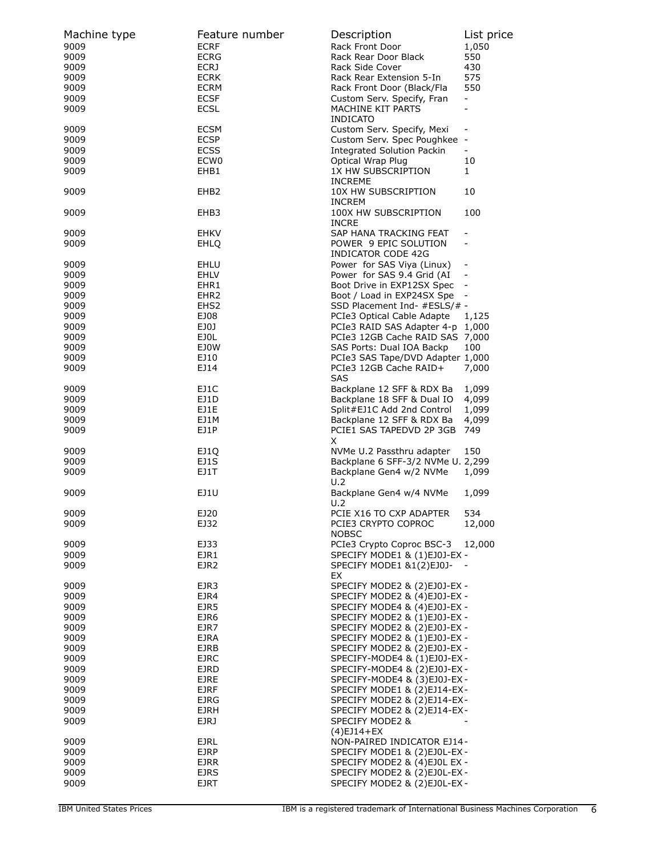| Machine type | Feature number   | Description                              | List price                   |
|--------------|------------------|------------------------------------------|------------------------------|
| 9009         | <b>ECRF</b>      | Rack Front Door                          | 1,050                        |
| 9009         | <b>ECRG</b>      | Rack Rear Door Black                     | 550                          |
| 9009         | <b>ECRJ</b>      | Rack Side Cover                          | 430                          |
| 9009         | <b>ECRK</b>      | Rack Rear Extension 5-In                 | 575                          |
| 9009         | <b>ECRM</b>      | Rack Front Door (Black/Fla               | 550                          |
| 9009         | <b>ECSF</b>      | Custom Serv. Specify, Fran               | -                            |
| 9009         | <b>ECSL</b>      | MACHINE KIT PARTS                        | $\overline{\phantom{0}}$     |
|              |                  | <b>INDICATO</b>                          |                              |
| 9009         | <b>ECSM</b>      | Custom Serv. Specify, Mexi               | $\overline{\phantom{a}}$     |
| 9009         | <b>ECSP</b>      | Custom Serv. Spec Poughkee               | $\overline{\phantom{a}}$     |
| 9009         | <b>ECSS</b>      | <b>Integrated Solution Packin</b>        | ÷                            |
| 9009         | ECW <sub>0</sub> | Optical Wrap Plug                        | 10                           |
| 9009         | EHB1             | 1X HW SUBSCRIPTION                       | 1                            |
| 9009         | EHB <sub>2</sub> | <b>INCREME</b><br>10X HW SUBSCRIPTION    | 10                           |
|              |                  | <b>INCREM</b>                            |                              |
| 9009         | EHB3             | 100X HW SUBSCRIPTION                     | 100                          |
|              |                  | <b>INCRE</b>                             |                              |
| 9009         | <b>EHKV</b>      | SAP HANA TRACKING FEAT                   | $\overline{\phantom{0}}$     |
| 9009         | EHLQ             | POWER 9 EPIC SOLUTION                    | $\overline{\phantom{0}}$     |
|              |                  | INDICATOR CODE 42G                       |                              |
| 9009         | EHLU             | Power for SAS Viya (Linux)               | $\overline{\phantom{a}}$     |
| 9009         | <b>EHLV</b>      | Power for SAS 9.4 Grid (AI               |                              |
| 9009         | EHR1             | Boot Drive in EXP12SX Spec               | $\overline{\phantom{a}}$     |
| 9009         | EHR <sub>2</sub> | Boot / Load in EXP24SX Spe               | $\qquad \qquad \blacksquare$ |
| 9009         | EHS <sub>2</sub> | SSD Placement Ind- #ESLS/# -             |                              |
| 9009         | EJ08             | PCIe3 Optical Cable Adapte               | 1,125                        |
| 9009         | EJ0J             | PCIe3 RAID SAS Adapter 4-p 1,000         |                              |
| 9009         | EJOL             | PCIe3 12GB Cache RAID SAS 7,000          |                              |
| 9009         | <b>EJOW</b>      | SAS Ports: Dual IOA Backp                | 100                          |
| 9009         | EJ10             | PCIe3 SAS Tape/DVD Adapter 1,000         |                              |
| 9009         | EJ14             | PCIe3 12GB Cache RAID+                   | 7,000                        |
|              |                  | <b>SAS</b>                               |                              |
| 9009         | EJ1C             | Backplane 12 SFF & RDX Ba                | 1,099                        |
| 9009         | EJ1D             | Backplane 18 SFF & Dual IO               | 4,099                        |
| 9009         | EJ1E             | Split#EJ1C Add 2nd Control               | 1,099                        |
| 9009         | EJ1M             | Backplane 12 SFF & RDX Ba                | 4,099                        |
| 9009         | EJ1P             | PCIE1 SAS TAPEDVD 2P 3GB<br>X            | 749                          |
| 9009         | EJ1Q             | NVMe U.2 Passthru adapter                | 150                          |
| 9009         | EJ1S             | Backplane 6 SFF-3/2 NVMe U. 2,299        |                              |
| 9009         | EJ1T             | Backplane Gen4 w/2 NVMe                  | 1,099                        |
|              |                  | U.2                                      |                              |
| 9009         | EJ1U             | Backplane Gen4 w/4 NVMe                  | 1,099                        |
|              |                  | U.2                                      |                              |
| 9009         | EJ20             | PCIE X16 TO CXP ADAPTER                  | 534                          |
| 9009         | EJ32             | PCIE3 CRYPTO COPROC                      | 12,000                       |
|              |                  | <b>NOBSC</b>                             |                              |
| 9009         | EJ33             | PCIe3 Crypto Coproc BSC-3                | 12,000                       |
| 9009         | EJR1             | SPECIFY MODE1 & (1)EJ0J-EX -             |                              |
| 9009         | EJR <sub>2</sub> | SPECIFY MODE1 &1(2)EJ0J-                 |                              |
|              |                  | EX                                       |                              |
| 9009         | EJR3             | SPECIFY MODE2 & (2)EJ0J-EX -             |                              |
| 9009         | EJR4             | SPECIFY MODE2 & (4)EJ0J-EX -             |                              |
| 9009         | EJR5             | SPECIFY MODE4 & (4)EJ0J-EX -             |                              |
| 9009         | EJR6             | SPECIFY MODE2 & (1)EJ0J-EX -             |                              |
| 9009         | EJR7             | SPECIFY MODE2 & (2)EJ0J-EX -             |                              |
| 9009         | <b>EJRA</b>      | SPECIFY MODE2 & (1)EJ0J-EX -             |                              |
| 9009         | EJRB             | SPECIFY MODE2 & (2)EJ0J-EX -             |                              |
| 9009         | <b>EJRC</b>      | SPECIFY-MODE4 & (1)EJ0J-EX -             |                              |
| 9009         | EJRD             | SPECIFY-MODE4 & (2)EJ0J-EX -             |                              |
| 9009         | <b>EJRE</b>      | SPECIFY-MODE4 & (3)EJ0J-EX -             |                              |
| 9009         | <b>EJRF</b>      | SPECIFY MODE1 & (2)EJ14-EX-              |                              |
| 9009         | <b>EJRG</b>      | SPECIFY MODE2 & (2)EJ14-EX-              |                              |
| 9009         | <b>EJRH</b>      | SPECIFY MODE2 & (2)EJ14-EX-              |                              |
| 9009         | EJRJ             | SPECIFY MODE2 &                          |                              |
| 9009         | <b>EJRL</b>      | (4)EJ14+EX<br>NON-PAIRED INDICATOR EJ14- |                              |
| 9009         | <b>EJRP</b>      | SPECIFY MODE1 & (2)EJ0L-EX -             |                              |
| 9009         | <b>EJRR</b>      | SPECIFY MODE2 & (4)EJ0L EX -             |                              |
| 9009         | <b>EJRS</b>      | SPECIFY MODE2 & (2)EJ0L-EX -             |                              |
| 9009         | <b>EJRT</b>      | SPECIFY MODE2 & (2)EJ0L-EX -             |                              |
|              |                  |                                          |                              |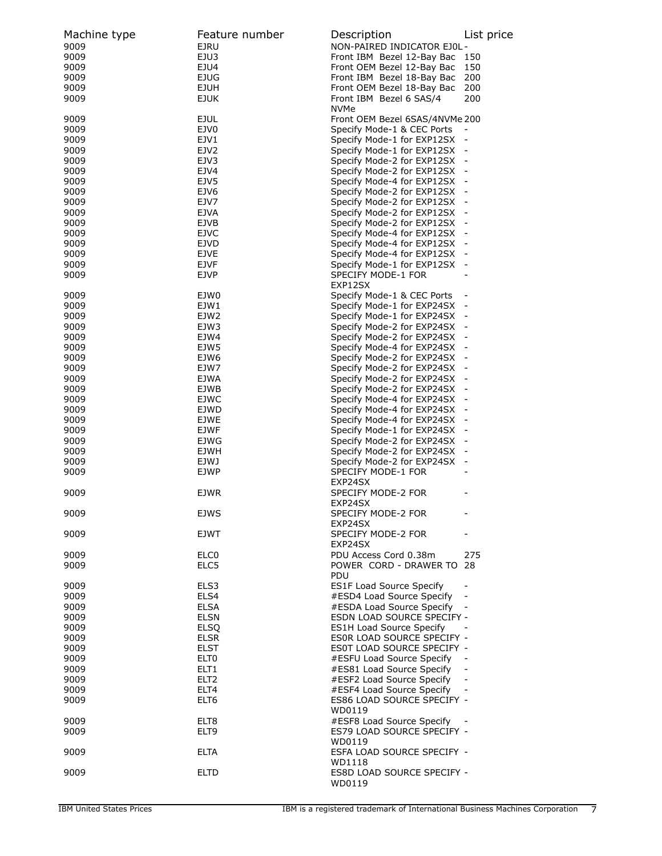| Machine type | Feature number   | Description                                                  | List price               |
|--------------|------------------|--------------------------------------------------------------|--------------------------|
| 9009         | <b>EJRU</b>      | NON-PAIRED INDICATOR EJ0L-                                   |                          |
| 9009         | EJU3             | Front IBM Bezel 12-Bay Bac                                   | 150                      |
| 9009         | EJU4             | Front OEM Bezel 12-Bay Bac                                   | 150                      |
| 9009         | EJUG             | Front IBM Bezel 18-Bay Bac                                   | 200                      |
| 9009         | <b>EJUH</b>      | Front OEM Bezel 18-Bay Bac                                   | 200                      |
| 9009         | <b>EJUK</b>      | Front IBM Bezel 6 SAS/4                                      | 200                      |
| 9009         | <b>EJUL</b>      | <b>NVMe</b><br>Front OEM Bezel 6SAS/4NVMe 200                |                          |
| 9009         | EJV0             | Specify Mode-1 & CEC Ports                                   |                          |
| 9009         | EJV1             | Specify Mode-1 for EXP12SX -                                 |                          |
|              | EJV2             |                                                              |                          |
| 9009<br>9009 | EJV3             | Specify Mode-1 for EXP12SX -<br>Specify Mode-2 for EXP12SX - |                          |
|              | EJV4             |                                                              |                          |
| 9009         |                  | Specify Mode-2 for EXP12SX -                                 |                          |
| 9009         | EJV5             | Specify Mode-4 for EXP12SX -                                 |                          |
| 9009         | EJV6             | Specify Mode-2 for EXP12SX -                                 |                          |
| 9009         | EJV7             | Specify Mode-2 for EXP12SX -                                 |                          |
| 9009         | <b>EJVA</b>      | Specify Mode-2 for EXP12SX -                                 |                          |
| 9009         | EJVB             | Specify Mode-2 for EXP12SX -                                 |                          |
| 9009         | EJVC             | Specify Mode-4 for EXP12SX -                                 |                          |
| 9009         | EJVD             | Specify Mode-4 for EXP12SX -                                 |                          |
| 9009         | <b>EJVE</b>      | Specify Mode-4 for EXP12SX                                   |                          |
| 9009         | <b>EJVF</b>      | Specify Mode-1 for EXP12SX -                                 |                          |
| 9009         | <b>EJVP</b>      | SPECIFY MODE-1 FOR<br>EXP12SX                                |                          |
| 9009         | EJW0             | Specify Mode-1 & CEC Ports                                   |                          |
| 9009         | EJW1             | Specify Mode-1 for EXP24SX                                   |                          |
| 9009         | EJW <sub>2</sub> | Specify Mode-1 for EXP24SX -                                 |                          |
| 9009         | EJW3             | Specify Mode-2 for EXP24SX                                   |                          |
| 9009         | EJW4             | Specify Mode-2 for EXP24SX                                   | $\overline{\phantom{a}}$ |
| 9009         | EJW5             | Specify Mode-4 for EXP24SX -                                 |                          |
| 9009         | EJW6             | Specify Mode-2 for EXP24SX                                   |                          |
| 9009         | EJW7             | Specify Mode-2 for EXP24SX -                                 |                          |
| 9009         | EJWA             | Specify Mode-2 for EXP24SX                                   |                          |
| 9009         | EJWB             | Specify Mode-2 for EXP24SX                                   | $\overline{\phantom{a}}$ |
| 9009         | <b>EJWC</b>      | Specify Mode-4 for EXP24SX -                                 |                          |
| 9009         | EJWD             | Specify Mode-4 for EXP24SX                                   |                          |
| 9009         | <b>EJWE</b>      | Specify Mode-4 for EXP24SX -                                 |                          |
| 9009         | EJWF             | Specify Mode-1 for EXP24SX                                   |                          |
| 9009         | EJWG             | Specify Mode-2 for EXP24SX                                   | $\overline{\phantom{a}}$ |
| 9009         | <b>EJWH</b>      | Specify Mode-2 for EXP24SX -                                 |                          |
| 9009         | EJWJ             | Specify Mode-2 for EXP24SX                                   |                          |
| 9009         | EJWP             | SPECIFY MODE-1 FOR                                           |                          |
|              |                  | EXP24SX                                                      |                          |
| 9009         | <b>EJWR</b>      | <b>SPECIFY MODE-2 FOR</b>                                    |                          |
|              |                  | EXP24SX                                                      |                          |
| 9009         | <b>EJWS</b>      | SPECIFY MODE-2 FOR                                           |                          |
|              |                  | EXP24SX                                                      |                          |
| 9009         | EJWT             | SPECIFY MODE-2 FOR<br>EXP24SX                                |                          |
| 9009         | ELC <sub>0</sub> | PDU Access Cord 0.38m                                        | 275                      |
| 9009         | ELC5             | POWER CORD - DRAWER TO 28                                    |                          |
|              |                  | <b>PDU</b>                                                   |                          |
| 9009         | ELS3             | <b>ES1F Load Source Specify</b>                              |                          |
| 9009         | ELS4             | #ESD4 Load Source Specify                                    |                          |
| 9009         | ELSA             | #ESDA Load Source Specify                                    |                          |
| 9009         | <b>ELSN</b>      | <b>ESDN LOAD SOURCE SPECIFY -</b>                            |                          |
| 9009         | <b>ELSQ</b>      | <b>ES1H Load Source Specify</b>                              |                          |
| 9009         | <b>ELSR</b>      | ES0R LOAD SOURCE SPECIFY -                                   |                          |
| 9009         | <b>ELST</b>      | <b>ESOT LOAD SOURCE SPECIFY -</b>                            |                          |
| 9009         | ELT0             | #ESFU Load Source Specify                                    |                          |
| 9009         | ELT1             | #ES81 Load Source Specify                                    |                          |
| 9009         | ELT <sub>2</sub> | #ESF2 Load Source Specify                                    | $\overline{\phantom{a}}$ |
| 9009         | ELT4             | #ESF4 Load Source Specify                                    |                          |
| 9009         | ELT6             | ES86 LOAD SOURCE SPECIFY -                                   |                          |
|              |                  | WD0119                                                       |                          |
| 9009         | ELT8             | #ESF8 Load Source Specify                                    |                          |
| 9009         | ELT9             | ES79 LOAD SOURCE SPECIFY -                                   |                          |
|              |                  | WD0119                                                       |                          |
| 9009         | ELTA             | ESFA LOAD SOURCE SPECIFY -                                   |                          |
| 9009         | ELTD             | WD1118<br>ES8D LOAD SOURCE SPECIFY -                         |                          |
|              |                  | WD0119                                                       |                          |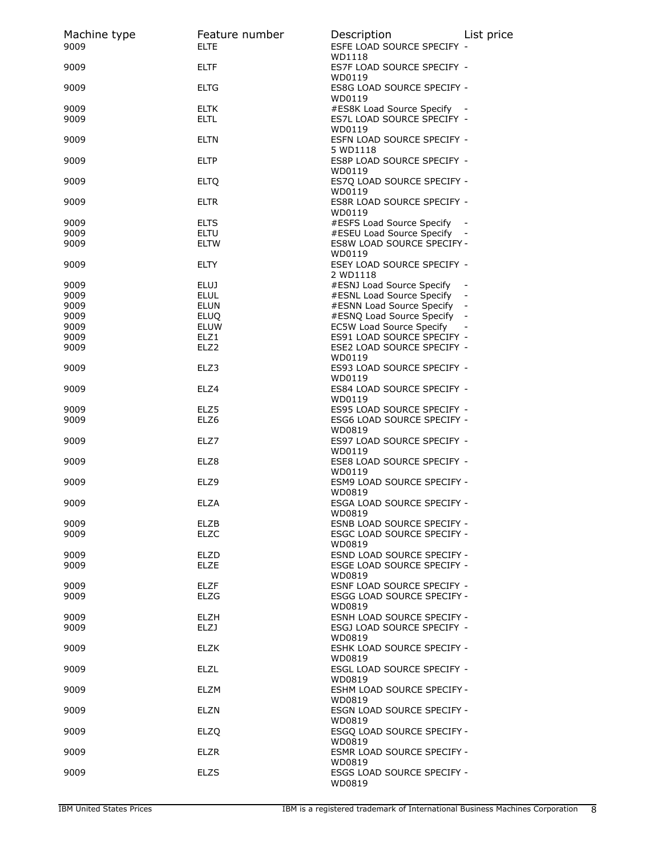| Machine type<br>9009 | Feature number<br><b>ELTE</b> | Description<br>ESFE LOAD SOURCE SPECIFY -                 | List price |
|----------------------|-------------------------------|-----------------------------------------------------------|------------|
| 9009                 | <b>ELTF</b>                   | WD1118<br>ES7F LOAD SOURCE SPECIFY -                      |            |
| 9009                 | <b>ELTG</b>                   | WD0119<br>ES8G LOAD SOURCE SPECIFY -<br>WD0119            |            |
| 9009<br>9009         | <b>ELTK</b><br><b>ELTL</b>    | #ES8K Load Source Specify -<br>ES7L LOAD SOURCE SPECIFY - |            |
| 9009                 | <b>ELTN</b>                   | WD0119<br>ESFN LOAD SOURCE SPECIFY -<br>5 WD1118          |            |
| 9009                 | <b>ELTP</b>                   | ES8P LOAD SOURCE SPECIFY -                                |            |
| 9009                 | <b>ELTQ</b>                   | WD0119<br>ES7Q LOAD SOURCE SPECIFY -<br>WD0119            |            |
| 9009                 | ELTR                          | ES8R LOAD SOURCE SPECIFY -<br>WD0119                      |            |
| 9009                 | <b>ELTS</b>                   | #ESFS Load Source Specify                                 |            |
| 9009                 | ELTU                          | #ESEU Load Source Specify -                               |            |
| 9009                 | <b>ELTW</b>                   | <b>ES8W LOAD SOURCE SPECIFY -</b>                         |            |
| 9009                 | <b>ELTY</b>                   | WD0119<br>ESEY LOAD SOURCE SPECIFY -<br>2 WD1118          |            |
| 9009                 | <b>ELUJ</b>                   | #ESNJ Load Source Specify                                 |            |
| 9009                 | <b>ELUL</b>                   | #ESNL Load Source Specify                                 |            |
| 9009                 | <b>ELUN</b>                   | #ESNN Load Source Specify -                               |            |
| 9009                 | <b>ELUO</b>                   | #ESNQ Load Source Specify -                               |            |
| 9009                 | <b>ELUW</b>                   | EC5W Load Source Specify                                  |            |
| 9009                 | ELZ1                          | ES91 LOAD SOURCE SPECIFY -                                |            |
| 9009                 | ELZ <sub>2</sub>              | ESE2 LOAD SOURCE SPECIFY -                                |            |
| 9009                 | ELZ3                          | WD0119<br>ES93 LOAD SOURCE SPECIFY -<br>WD0119            |            |
| 9009                 | ELZ4                          | ES84 LOAD SOURCE SPECIFY -<br>WD0119                      |            |
| 9009<br>9009         | ELZ5<br>ELZ6                  | ES95 LOAD SOURCE SPECIFY -<br>ESG6 LOAD SOURCE SPECIFY -  |            |
|                      |                               | WD0819                                                    |            |
| 9009                 | ELZ7                          | ES97 LOAD SOURCE SPECIFY -<br>WD0119                      |            |
| 9009                 | ELZ8                          | ESE8 LOAD SOURCE SPECIFY -<br>WD0119                      |            |
| 9009                 | ELZ9                          | ESM9 LOAD SOURCE SPECIFY -<br>WD0819                      |            |
| 9009                 | <b>ELZA</b>                   | ESGA LOAD SOURCE SPECIFY -<br>WD0819                      |            |
| 9009                 | ELZB                          | ESNB LOAD SOURCE SPECIFY -                                |            |
| 9009                 | <b>ELZC</b>                   | <b>ESGC LOAD SOURCE SPECIFY -</b><br>WD0819               |            |
| 9009                 | <b>ELZD</b>                   | ESND LOAD SOURCE SPECIFY -                                |            |
| 9009                 | <b>ELZE</b>                   | ESGE LOAD SOURCE SPECIFY -<br>WD0819                      |            |
| 9009                 | ELZF                          | ESNF LOAD SOURCE SPECIFY -                                |            |
| 9009                 | ELZG                          | <b>ESGG LOAD SOURCE SPECIFY -</b><br>WD0819               |            |
| 9009                 | <b>ELZH</b>                   | ESNH LOAD SOURCE SPECIFY -                                |            |
| 9009                 | ELZJ                          | ESGJ LOAD SOURCE SPECIFY -<br>WD0819                      |            |
| 9009                 | ELZK                          | ESHK LOAD SOURCE SPECIFY -<br>WD0819                      |            |
| 9009                 | <b>ELZL</b>                   | ESGL LOAD SOURCE SPECIFY -<br>WD0819                      |            |
| 9009                 | ELZM                          | ESHM LOAD SOURCE SPECIFY -<br>WD0819                      |            |
| 9009                 | <b>ELZN</b>                   | ESGN LOAD SOURCE SPECIFY -<br>WD0819                      |            |
| 9009                 | <b>ELZQ</b>                   | ESGQ LOAD SOURCE SPECIFY -<br>WD0819                      |            |
| 9009                 | ELZR                          | ESMR LOAD SOURCE SPECIFY -<br>WD0819                      |            |
| 9009                 | <b>ELZS</b>                   | ESGS LOAD SOURCE SPECIFY -<br>WD0819                      |            |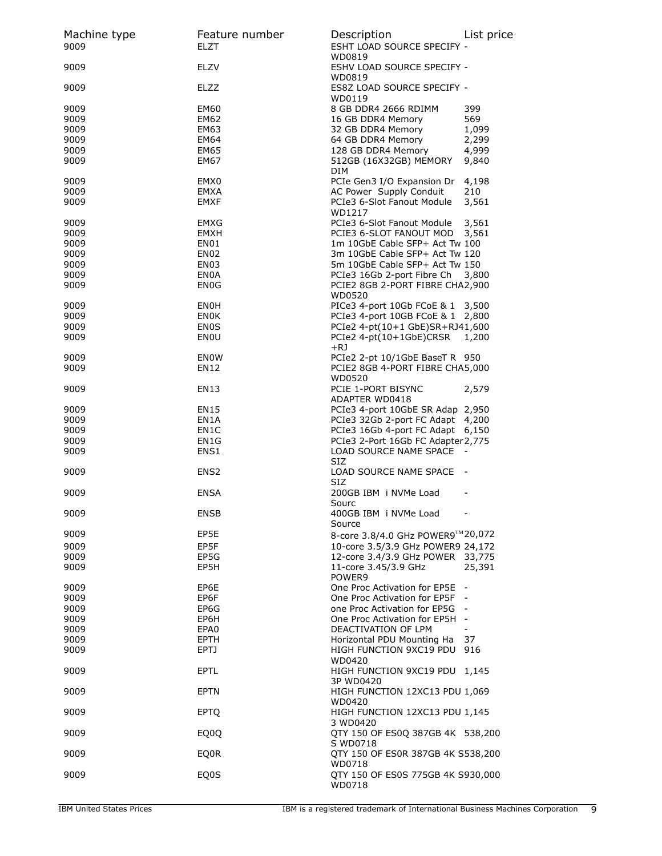| Machine type<br>9009 | Feature number<br><b>ELZT</b> | Description<br>ESHT LOAD SOURCE SPECIFY -      | List price     |
|----------------------|-------------------------------|------------------------------------------------|----------------|
| 9009                 | ELZV                          | WD0819<br>ESHV LOAD SOURCE SPECIFY -<br>WD0819 |                |
| 9009                 | ELZZ                          | ES8Z LOAD SOURCE SPECIFY -<br>WD0119           |                |
| 9009                 | <b>EM60</b>                   | 8 GB DDR4 2666 RDIMM                           | 399            |
| 9009                 | EM62                          | 16 GB DDR4 Memory                              | 569            |
| 9009                 | EM63                          | 32 GB DDR4 Memory                              | 1,099          |
| 9009                 | EM64                          | 64 GB DDR4 Memory                              | 2,299          |
| 9009                 | <b>EM65</b>                   | 128 GB DDR4 Memory                             | 4,999          |
| 9009                 | EM67                          | 512GB (16X32GB) MEMORY<br>DIM                  | 9,840          |
| 9009                 | EMX0                          | PCIe Gen3 I/O Expansion Dr                     | 4,198          |
| 9009                 | EMXA                          | AC Power Supply Conduit                        | 210            |
| 9009                 | EMXF                          | PCIe3 6-Slot Fanout Module<br>WD1217           | 3,561          |
| 9009                 | EMXG                          | PCIe3 6-Slot Fanout Module                     | 3,561          |
| 9009                 | <b>EMXH</b>                   | PCIE3 6-SLOT FANOUT MOD                        | 3,561          |
| 9009                 | EN01                          | 1m 10GbE Cable SFP+ Act Tw 100                 |                |
| 9009                 | EN <sub>02</sub>              | 3m 10GbE Cable SFP+ Act Tw 120                 |                |
| 9009                 | EN <sub>03</sub>              | 5m 10GbE Cable SFP+ Act Tw 150                 |                |
| 9009                 | <b>EN0A</b>                   | PCIe3 16Gb 2-port Fibre Ch 3,800               |                |
| 9009                 | EN <sub>0</sub> G             | PCIE2 8GB 2-PORT FIBRE CHA2,900<br>WD0520      |                |
| 9009                 | <b>ENOH</b>                   | PICe3 4-port 10Gb FCoE & 1 3,500               |                |
| 9009                 | <b>ENOK</b>                   | PCIe3 4-port 10GB FCoE & 1 2,800               |                |
| 9009                 | <b>ENOS</b>                   | PCIe2 4-pt(10+1 GbE)SR+RJ41,600                |                |
| 9009                 | ENOU                          | PCIe2 4-pt(10+1GbE)CRSR<br>+RJ                 | 1,200          |
| 9009                 | ENOW                          | PCIe2 2-pt 10/1GbE BaseT R 950                 |                |
| 9009                 | EN12                          | PCIE2 8GB 4-PORT FIBRE CHA5,000                |                |
|                      |                               | WD0520                                         |                |
| 9009                 | EN13                          | PCIE 1-PORT BISYNC<br>ADAPTER WD0418           | 2,579          |
| 9009                 | <b>EN15</b>                   | PCIe3 4-port 10GbE SR Adap 2,950               |                |
| 9009                 | EN1A                          | PCIe3 32Gb 2-port FC Adapt 4,200               |                |
| 9009                 | EN <sub>1</sub> C             | PCIe3 16Gb 4-port FC Adapt 6,150               |                |
| 9009                 | EN1G                          | PCIe3 2-Port 16Gb FC Adapter 2,775             |                |
| 9009                 | ENS <sub>1</sub>              | LOAD SOURCE NAME SPACE<br>SIZ.                 |                |
| 9009                 | ENS <sub>2</sub>              | LOAD SOURCE NAME SPACE<br>SIZ                  | $\sim$ $-$     |
| 9009                 | <b>ENSA</b>                   | 200GB IBM i NVMe Load<br>Sourc                 |                |
| 9009                 | <b>ENSB</b>                   | 400GB IBM i NVMe Load<br>Source                |                |
| 9009                 | EP5E                          | 8-core 3.8/4.0 GHz POWER9™20,072               |                |
| 9009                 | EP5F                          | 10-core 3.5/3.9 GHz POWER9 24,172              |                |
| 9009                 | EP5G                          | 12-core 3.4/3.9 GHz POWER 33,775               |                |
| 9009                 | EP5H                          | 11-core 3.45/3.9 GHz<br>POWER9                 | 25,391         |
| 9009                 | EP6E                          | One Proc Activation for EP5E                   |                |
| 9009                 | EP6F                          | One Proc Activation for EP5F                   |                |
| 9009                 | EP6G                          | one Proc Activation for EP5G -                 |                |
| 9009                 | EP6H                          | One Proc Activation for EP5H -                 |                |
| 9009                 | EPA0                          | DEACTIVATION OF LPM                            | $\blacksquare$ |
| 9009                 | <b>EPTH</b>                   | Horizontal PDU Mounting Ha                     | 37             |
| 9009                 | EPTJ                          | HIGH FUNCTION 9XC19 PDU<br>WD0420              | 916            |
| 9009                 | <b>EPTL</b>                   | HIGH FUNCTION 9XC19 PDU 1,145<br>3P WD0420     |                |
| 9009                 | <b>EPTN</b>                   | HIGH FUNCTION 12XC13 PDU 1,069<br>WD0420       |                |
| 9009                 | <b>EPTQ</b>                   | HIGH FUNCTION 12XC13 PDU 1,145<br>3 WD0420     |                |
| 9009                 | EQ0Q                          | QTY 150 OF ES0Q 387GB 4K 538,200<br>S WD0718   |                |
| 9009                 | EQ0R                          | QTY 150 OF ES0R 387GB 4K S538,200<br>WD0718    |                |
| 9009                 | EQ0S                          | QTY 150 OF ES0S 775GB 4K S930,000<br>WD0718    |                |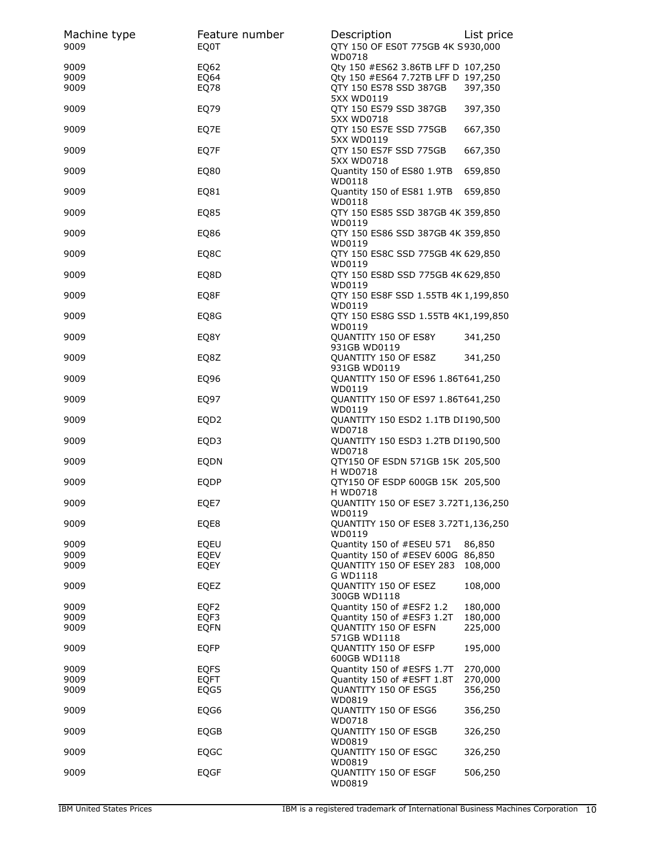| Machine type | Feature number             | Description                                                                      | List price         |
|--------------|----------------------------|----------------------------------------------------------------------------------|--------------------|
| 9009         | EQ0T                       | QTY 150 OF ES0T 775GB 4K S930,000<br>WD0718                                      |                    |
| 9009         | EQ62                       | Qty 150 #ES62 3.86TB LFF D 107,250                                               |                    |
| 9009         | EQ64                       | Qty 150 #ES64 7.72TB LFF D 197,250                                               |                    |
| 9009         | EQ78                       | QTY 150 ES78 SSD 387GB                                                           | 397,350            |
| 9009         | EQ79                       | 5XX WD0119<br>QTY 150 ES79 SSD 387GB                                             | 397,350            |
| 9009         | EQ7E                       | 5XX WD0718<br>QTY 150 ES7E SSD 775GB<br>5XX WD0119                               | 667,350            |
| 9009         | EQ7F                       | QTY 150 ES7F SSD 775GB<br>5XX WD0718                                             | 667,350            |
| 9009         | EQ80                       | Quantity 150 of ES80 1.9TB<br>WD0118                                             | 659,850            |
| 9009         | EQ81                       | Quantity 150 of ES81 1.9TB<br>WD0118                                             | 659,850            |
| 9009         | EQ85                       | QTY 150 ES85 SSD 387GB 4K 359,850<br>WD0119                                      |                    |
| 9009         | EQ86                       | QTY 150 ES86 SSD 387GB 4K 359,850<br>WD0119                                      |                    |
| 9009         | EQ8C                       | QTY 150 ES8C SSD 775GB 4K 629,850<br>WD0119                                      |                    |
| 9009         | EQ8D                       | QTY 150 ES8D SSD 775GB 4K 629,850<br>WD0119                                      |                    |
| 9009         | EQ8F                       | QTY 150 ES8F SSD 1.55TB 4K 1,199,850<br>WD0119                                   |                    |
| 9009         | EQ8G                       | QTY 150 ES8G SSD 1.55TB 4K1,199,850<br>WD0119                                    |                    |
| 9009         | EQ8Y                       | QUANTITY 150 OF ES8Y<br>931GB WD0119                                             | 341,250            |
| 9009         | EQ8Z                       | QUANTITY 150 OF ES8Z<br>931GB WD0119                                             | 341,250            |
| 9009         | EQ96                       | QUANTITY 150 OF ES96 1.86T641,250<br>WD0119                                      |                    |
| 9009         | EQ97                       | QUANTITY 150 OF ES97 1.86T641,250<br>WD0119                                      |                    |
| 9009         | EQD <sub>2</sub>           | QUANTITY 150 ESD2 1.1TB DI190,500<br>WD0718                                      |                    |
| 9009         | EQD3                       | QUANTITY 150 ESD3 1.2TB DI190,500<br>WD0718                                      |                    |
| 9009         | EQDN                       | QTY150 OF ESDN 571GB 15K 205,500<br>H WD0718                                     |                    |
| 9009         | <b>EQDP</b>                | QTY150 OF ESDP 600GB 15K 205,500<br>H WD0718                                     |                    |
| 9009         | EQE7                       | QUANTITY 150 OF ESE7 3.72T1,136,250<br>WD0119                                    |                    |
| 9009         | EQE8                       | QUANTITY 150 OF ESE8 3.72T1,136,250<br>WD0119                                    |                    |
| 9009         | EQEU                       | Quantity 150 of #ESEU 571                                                        | 86,850             |
| 9009<br>9009 | <b>EQEV</b><br><b>EQEY</b> | Quantity 150 of #ESEV 600G 86,850<br><b>QUANTITY 150 OF ESEY 283</b><br>G WD1118 | 108,000            |
| 9009         | EQEZ                       | QUANTITY 150 OF ESEZ<br>300GB WD1118                                             | 108,000            |
| 9009         | EQF <sub>2</sub>           | Quantity 150 of #ESF2 1.2                                                        | 180,000            |
| 9009         | EQF3                       | Quantity 150 of #ESF3 1.2T                                                       | 180,000            |
| 9009         | <b>EQFN</b>                | <b>OUANTITY 150 OF ESFN</b>                                                      | 225,000            |
| 9009         | <b>EQFP</b>                | 571GB WD1118<br>QUANTITY 150 OF ESFP                                             | 195,000            |
|              |                            | 600GB WD1118                                                                     |                    |
| 9009         | <b>EQFS</b>                | Quantity 150 of #ESFS 1.7T                                                       | 270,000            |
| 9009<br>9009 | <b>EQFT</b><br>EQG5        | Quantity 150 of #ESFT 1.8T<br>QUANTITY 150 OF ESG5                               | 270,000<br>356,250 |
| 9009         | EQG6                       | WD0819<br>QUANTITY 150 OF ESG6<br>WD0718                                         | 356,250            |
| 9009         | EQGB                       | QUANTITY 150 OF ESGB<br>WD0819                                                   | 326,250            |
| 9009         | <b>EQGC</b>                | QUANTITY 150 OF ESGC<br>WD0819                                                   | 326,250            |
| 9009         | <b>EQGF</b>                | QUANTITY 150 OF ESGF<br>WD0819                                                   | 506,250            |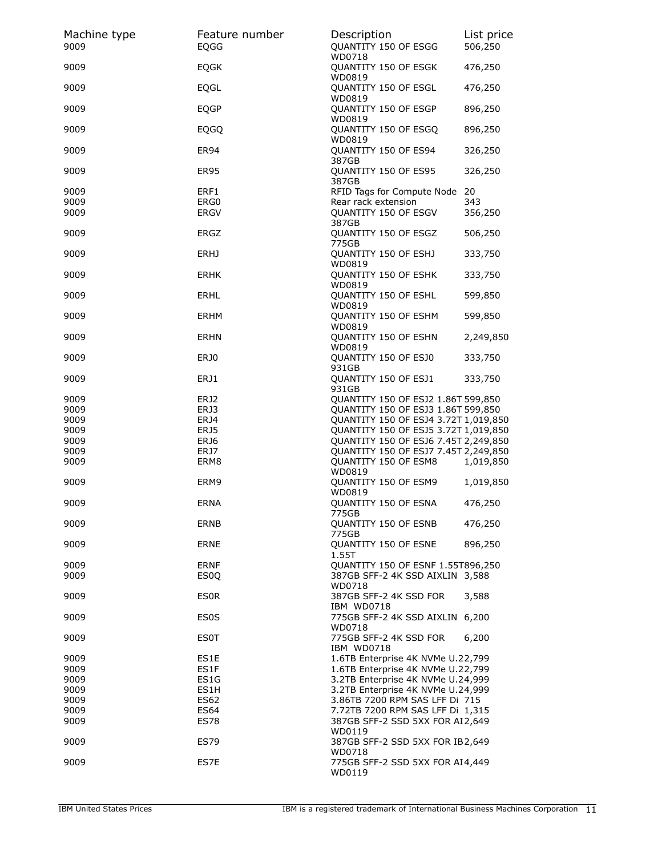| Machine type<br>9009 | Feature number<br>EQGG | Description<br>QUANTITY 150 OF ESGG<br>WD0718                          | List price<br>506,250 |
|----------------------|------------------------|------------------------------------------------------------------------|-----------------------|
| 9009                 | <b>EQGK</b>            | QUANTITY 150 OF ESGK<br>WD0819                                         | 476,250               |
| 9009                 | EQGL                   | QUANTITY 150 OF ESGL<br>WD0819                                         | 476,250               |
| 9009                 | <b>EQGP</b>            | QUANTITY 150 OF ESGP<br>WD0819                                         | 896,250               |
| 9009                 | <b>EQGQ</b>            | QUANTITY 150 OF ESGQ<br>WD0819                                         | 896,250               |
| 9009                 | <b>ER94</b>            | QUANTITY 150 OF ES94<br>387GB                                          | 326,250               |
| 9009                 | <b>ER95</b>            | QUANTITY 150 OF ES95<br>387GB                                          | 326,250               |
| 9009                 | ERF1                   | RFID Tags for Compute Node 20                                          |                       |
| 9009<br>9009         | ERG0<br><b>ERGV</b>    | Rear rack extension<br>QUANTITY 150 OF ESGV<br>387GB                   | 343<br>356,250        |
| 9009                 | ERGZ                   | QUANTITY 150 OF ESGZ<br>775GB                                          | 506,250               |
| 9009                 | <b>ERHJ</b>            | QUANTITY 150 OF ESHJ<br>WD0819                                         | 333,750               |
| 9009                 | <b>ERHK</b>            | <b>QUANTITY 150 OF ESHK</b><br>WD0819                                  | 333,750               |
| 9009                 | <b>ERHL</b>            | QUANTITY 150 OF ESHL<br>WD0819                                         | 599,850               |
| 9009                 | ERHM                   | QUANTITY 150 OF ESHM<br>WD0819                                         | 599,850               |
| 9009                 | <b>ERHN</b>            | QUANTITY 150 OF ESHN<br>WD0819                                         | 2,249,850             |
| 9009                 | ERJ0                   | QUANTITY 150 OF ESJ0<br>931GB                                          | 333,750               |
| 9009                 | ERJ1                   | QUANTITY 150 OF ESJ1<br>931GB                                          | 333,750               |
| 9009                 | ERJ2                   | QUANTITY 150 OF ESJ2 1.86T 599,850                                     |                       |
| 9009                 | ERJ3                   | QUANTITY 150 OF ESJ3 1.86T 599,850                                     |                       |
| 9009                 | ERJ4                   | QUANTITY 150 OF ESJ4 3.72T 1,019,850                                   |                       |
| 9009                 | ERJ5                   | QUANTITY 150 OF ESJ5 3.72T 1,019,850                                   |                       |
| 9009                 | ERJ6                   | QUANTITY 150 OF ESJ6 7.45T 2,249,850                                   |                       |
| 9009                 | ERJ7                   | QUANTITY 150 OF ESJ7 7.45T 2,249,850                                   |                       |
| 9009                 | ERM8                   | QUANTITY 150 OF ESM8<br>WD0819                                         | 1,019,850             |
| 9009                 | ERM9                   | QUANTITY 150 OF ESM9<br>WD0819                                         | 1,019,850             |
| 9009                 | ERNA                   | <b>QUANTITY 150 OF ESNA</b><br>775GB                                   | 476,250               |
| 9009                 | ERNB                   | QUANTITY 150 OF ESNB<br>775GB                                          | 476,250               |
| 9009                 | ERNE                   | QUANTITY 150 OF ESNE<br>1.55T                                          | 896,250               |
| 9009                 | <b>ERNF</b>            | <b>QUANTITY 150 OF ESNF 1.55T896,250</b>                               |                       |
| 9009                 | ES <sub>0</sub>        | 387GB SFF-2 4K SSD AIXLIN 3,588<br>WD0718                              |                       |
| 9009                 | <b>ESOR</b>            | 387GB SFF-2 4K SSD FOR<br>IBM WD0718                                   | 3,588                 |
| 9009                 | <b>ES0S</b>            | 775GB SFF-2 4K SSD AIXLIN 6,200<br>WD0718                              |                       |
| 9009                 | <b>ES0T</b>            | 775GB SFF-2 4K SSD FOR<br>IBM WD0718                                   | 6,200                 |
| 9009                 | ES1E                   | 1.6TB Enterprise 4K NVMe U.22,799                                      |                       |
| 9009                 | ES1F                   | 1.6TB Enterprise 4K NVMe U.22,799                                      |                       |
| 9009                 | ES1G                   | 3.2TB Enterprise 4K NVMe U.24,999<br>3.2TB Enterprise 4K NVMe U.24,999 |                       |
| 9009<br>9009         | ES1H<br><b>ES62</b>    | 3.86TB 7200 RPM SAS LFF Di 715                                         |                       |
| 9009                 | ES64                   | 7.72TB 7200 RPM SAS LFF Di 1,315                                       |                       |
| 9009                 | <b>ES78</b>            | 387GB SFF-2 SSD 5XX FOR AI2,649                                        |                       |
| 9009                 | ES79                   | WD0119<br>387GB SFF-2 SSD 5XX FOR IB2,649                              |                       |
|                      |                        | WD0718                                                                 |                       |
| 9009                 | ES7E                   | 775GB SFF-2 SSD 5XX FOR AI4,449<br>WD0119                              |                       |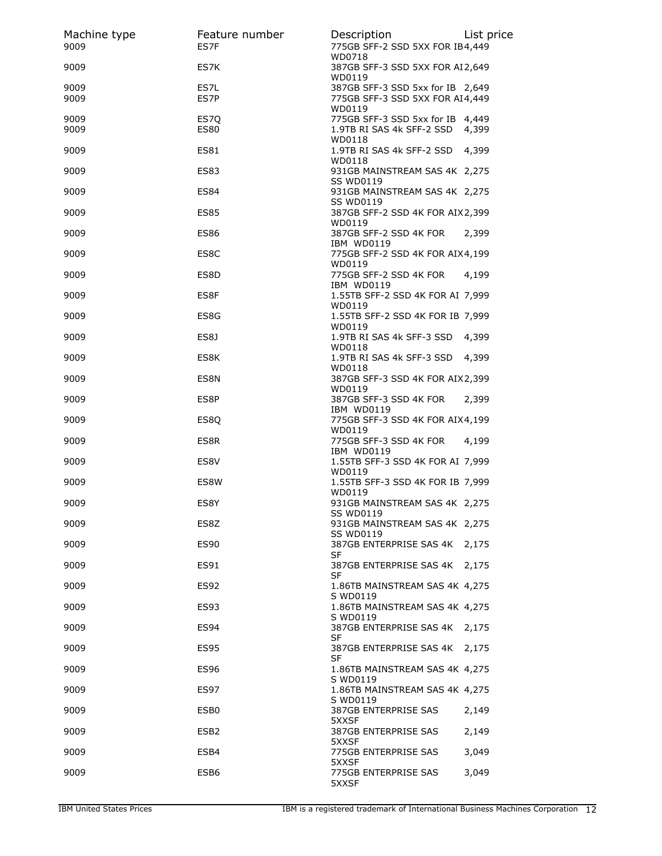| Machine type<br>9009 | Feature number<br>ES7F | Description<br>775GB SFF-2 SSD 5XX FOR IB4,449<br>WD0718                      | List price |
|----------------------|------------------------|-------------------------------------------------------------------------------|------------|
| 9009                 | ES7K                   | 387GB SFF-3 SSD 5XX FOR AI2,649<br>WD0119                                     |            |
| 9009<br>9009         | ES7L<br>ES7P           | 387GB SFF-3 SSD 5xx for IB 2,649<br>775GB SFF-3 SSD 5XX FOR AI4,449           |            |
| 9009<br>9009         | ES7Q<br><b>ES80</b>    | WD0119<br>775GB SFF-3 SSD 5xx for IB 4,449<br>1.9TB RI SAS 4k SFF-2 SSD 4,399 |            |
| 9009                 | <b>ES81</b>            | WD0118<br>1.9TB RI SAS 4k SFF-2 SSD 4,399<br>WD0118                           |            |
| 9009                 | <b>ES83</b>            | 931GB MAINSTREAM SAS 4K 2,275<br><b>SS WD0119</b>                             |            |
| 9009                 | <b>ES84</b>            | 931GB MAINSTREAM SAS 4K 2,275<br><b>SS WD0119</b>                             |            |
| 9009                 | <b>ES85</b>            | 387GB SFF-2 SSD 4K FOR AIX 2,399<br>WD0119                                    |            |
| 9009                 | <b>ES86</b>            | 387GB SFF-2 SSD 4K FOR<br>IBM WD0119                                          | 2,399      |
| 9009                 | ES8C                   | 775GB SFF-2 SSD 4K FOR AIX4,199<br>WD0119                                     |            |
| 9009                 | ES8D                   | 775GB SFF-2 SSD 4K FOR<br>IBM WD0119                                          | 4,199      |
| 9009                 | ES8F                   | 1.55TB SFF-2 SSD 4K FOR AI 7,999<br>WD0119                                    |            |
| 9009                 | ES8G                   | 1.55TB SFF-2 SSD 4K FOR IB 7,999<br>WD0119                                    |            |
| 9009                 | ES8J                   | 1.9TB RI SAS 4k SFF-3 SSD 4,399<br>WD0118                                     |            |
| 9009                 | ES8K                   | 1.9TB RI SAS 4k SFF-3 SSD 4,399<br>WD0118                                     |            |
| 9009                 | ES8N                   | 387GB SFF-3 SSD 4K FOR AIX2,399<br>WD0119                                     |            |
| 9009                 | ES8P                   | 387GB SFF-3 SSD 4K FOR                                                        | 2,399      |
| 9009                 | ES8Q                   | IBM WD0119<br>775GB SFF-3 SSD 4K FOR AIX4,199                                 |            |
| 9009                 | ES8R                   | WD0119<br>775GB SFF-3 SSD 4K FOR<br>IBM WD0119                                | 4,199      |
| 9009                 | ES8V                   | 1.55TB SFF-3 SSD 4K FOR AI 7,999<br>WD0119                                    |            |
| 9009                 | ES8W                   | 1.55TB SFF-3 SSD 4K FOR IB 7,999                                              |            |
| 9009                 | ES8Y                   | WD0119<br>931GB MAINSTREAM SAS 4K 2,275                                       |            |
| 9009                 | ES8Z                   | SS WD0119<br>931GB MAINSTREAM SAS 4K 2,275                                    |            |
| 9009                 | <b>ES90</b>            | SS WD0119<br>387GB ENTERPRISE SAS 4K<br><b>SF</b>                             | 2,175      |
| 9009                 | ES91                   | 387GB ENTERPRISE SAS 4K<br>SF                                                 | 2.175      |
| 9009                 | ES92                   | 1.86TB MAINSTREAM SAS 4K 4,275                                                |            |
| 9009                 | ES93                   | S WD0119<br>1.86TB MAINSTREAM SAS 4K 4,275                                    |            |
| 9009                 | <b>ES94</b>            | S WD0119<br>387GB ENTERPRISE SAS 4K 2,175<br>SF                               |            |
| 9009                 | <b>ES95</b>            | 387GB ENTERPRISE SAS 4K<br>SF                                                 | 2,175      |
| 9009                 | <b>ES96</b>            | 1.86TB MAINSTREAM SAS 4K 4,275<br>S WD0119                                    |            |
| 9009                 | ES97                   | 1.86TB MAINSTREAM SAS 4K 4,275                                                |            |
| 9009                 | ESB <sub>0</sub>       | S WD0119<br><b>387GB ENTERPRISE SAS</b>                                       | 2,149      |
| 9009                 | ESB <sub>2</sub>       | 5XXSF<br>387GB ENTERPRISE SAS                                                 | 2,149      |
| 9009                 | ESB4                   | 5XXSF<br>775GB ENTERPRISE SAS                                                 | 3,049      |
| 9009                 | ESB6                   | 5XXSF<br>775GB ENTERPRISE SAS<br>5XXSF                                        | 3,049      |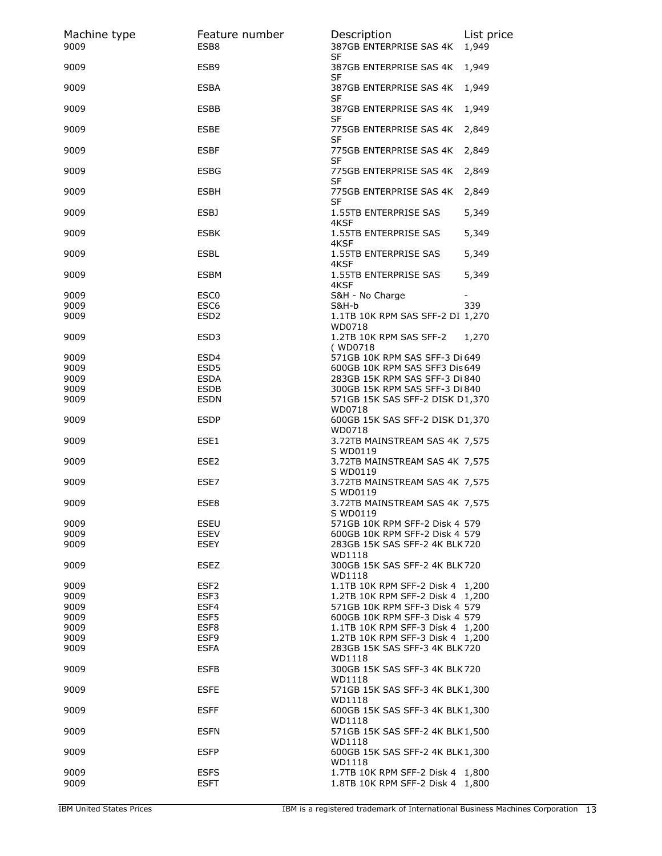| Machine type<br>9009 | Feature number<br>ESB8     | Description<br>387GB ENTERPRISE SAS 4K<br>SF                                 | List price<br>1,949 |
|----------------------|----------------------------|------------------------------------------------------------------------------|---------------------|
| 9009                 | ESB <sub>9</sub>           | 387GB ENTERPRISE SAS 4K<br><b>SF</b>                                         | 1,949               |
| 9009                 | <b>ESBA</b>                | 387GB ENTERPRISE SAS 4K<br>SF                                                | 1,949               |
| 9009                 | <b>ESBB</b>                | 387GB ENTERPRISE SAS 4K<br>SF                                                | 1,949               |
| 9009                 | <b>ESBE</b>                | 775GB ENTERPRISE SAS 4K<br>SF                                                | 2,849               |
| 9009                 | <b>ESBF</b>                | 775GB ENTERPRISE SAS 4K<br>SF                                                | 2,849               |
| 9009                 | <b>ESBG</b>                | 775GB ENTERPRISE SAS 4K<br><b>SF</b>                                         | 2,849               |
| 9009                 | <b>ESBH</b>                | 775GB ENTERPRISE SAS 4K<br>SF                                                | 2,849               |
| 9009                 | <b>ESBJ</b>                | 1.55TB ENTERPRISE SAS<br>4KSF                                                | 5,349               |
| 9009                 | <b>ESBK</b>                | 1.55TB ENTERPRISE SAS<br>4KSF                                                | 5,349               |
| 9009                 | <b>ESBL</b>                | 1.55TB ENTERPRISE SAS<br>4KSF                                                | 5,349               |
| 9009                 | <b>ESBM</b>                | 1.55TB ENTERPRISE SAS<br>4KSF                                                | 5,349               |
| 9009                 | ESC <sub>0</sub>           | S&H - No Charge                                                              |                     |
| 9009                 | ESC <sub>6</sub>           | S&H-b                                                                        | 339                 |
| 9009                 | ESD <sub>2</sub>           | 1.1TB 10K RPM SAS SFF-2 DI 1,270<br>WD0718                                   |                     |
| 9009                 | ESD3                       | 1.2TB 10K RPM SAS SFF-2<br>(WD0718)                                          | 1,270               |
| 9009                 | ESD4                       | 571GB 10K RPM SAS SFF-3 Di 649                                               |                     |
| 9009                 | ESD <sub>5</sub>           | 600GB 10K RPM SAS SFF3 Dis 649                                               |                     |
| 9009                 | <b>ESDA</b>                | 283GB 15K RPM SAS SFF-3 Di 840                                               |                     |
| 9009                 | <b>ESDB</b>                | 300GB 15K RPM SAS SFF-3 Di 840                                               |                     |
| 9009                 | <b>ESDN</b>                | 571GB 15K SAS SFF-2 DISK D1,370<br>WD0718                                    |                     |
| 9009                 | <b>ESDP</b>                | 600GB 15K SAS SFF-2 DISK D1,370<br>WD0718                                    |                     |
| 9009                 | ESE1                       | 3.72TB MAINSTREAM SAS 4K 7,575<br>S WD0119                                   |                     |
| 9009                 | ESE <sub>2</sub>           | 3.72TB MAINSTREAM SAS 4K 7,575<br>S WD0119                                   |                     |
| 9009                 | ESE7                       | 3.72TB MAINSTREAM SAS 4K 7,575<br>S WD0119                                   |                     |
| 9009<br>9009         | ESE8<br><b>ESEU</b>        | 3.72TB MAINSTREAM SAS 4K 7,575<br>S WD0119<br>571GB 10K RPM SFF-2 Disk 4 579 |                     |
|                      | <b>ESEV</b>                | 600GB 10K RPM SFF-2 Disk 4 579                                               |                     |
| 9009<br>9009         | <b>ESEY</b>                | 283GB 15K SAS SFF-2 4K BLK 720<br>WD1118                                     |                     |
| 9009                 | ESEZ                       | 300GB 15K SAS SFF-2 4K BLK 720<br>WD1118                                     |                     |
| 9009                 | ESF <sub>2</sub>           | 1.1TB 10K RPM SFF-2 Disk 4 1,200                                             |                     |
| 9009                 | ESF3                       | 1.2TB 10K RPM SFF-2 Disk 4 1.200                                             |                     |
| 9009                 | ESF4                       | 571GB 10K RPM SFF-3 Disk 4 579                                               |                     |
| 9009                 | ESF5                       | 600GB 10K RPM SFF-3 Disk 4 579                                               |                     |
| 9009                 | ESF8                       | 1.1TB 10K RPM SFF-3 Disk 4 1,200                                             |                     |
| 9009                 | ESF9                       | 1.2TB 10K RPM SFF-3 Disk 4 1,200                                             |                     |
| 9009                 | <b>ESFA</b>                | 283GB 15K SAS SFF-3 4K BLK 720<br>WD1118                                     |                     |
| 9009                 | <b>ESFB</b>                | 300GB 15K SAS SFF-3 4K BLK 720<br>WD1118                                     |                     |
| 9009                 | <b>ESFE</b>                | 571GB 15K SAS SFF-3 4K BLK 1,300<br>WD1118                                   |                     |
| 9009                 | <b>ESFF</b>                | 600GB 15K SAS SFF-3 4K BLK 1,300<br>WD1118                                   |                     |
| 9009                 | <b>ESFN</b>                | 571GB 15K SAS SFF-2 4K BLK 1,500<br>WD1118                                   |                     |
| 9009                 | <b>ESFP</b>                | 600GB 15K SAS SFF-2 4K BLK 1,300<br>WD1118                                   |                     |
| 9009<br>9009         | <b>ESFS</b><br><b>ESFT</b> | 1.7TB 10K RPM SFF-2 Disk 4 1,800<br>1.8TB 10K RPM SFF-2 Disk 4 1,800         |                     |
|                      |                            |                                                                              |                     |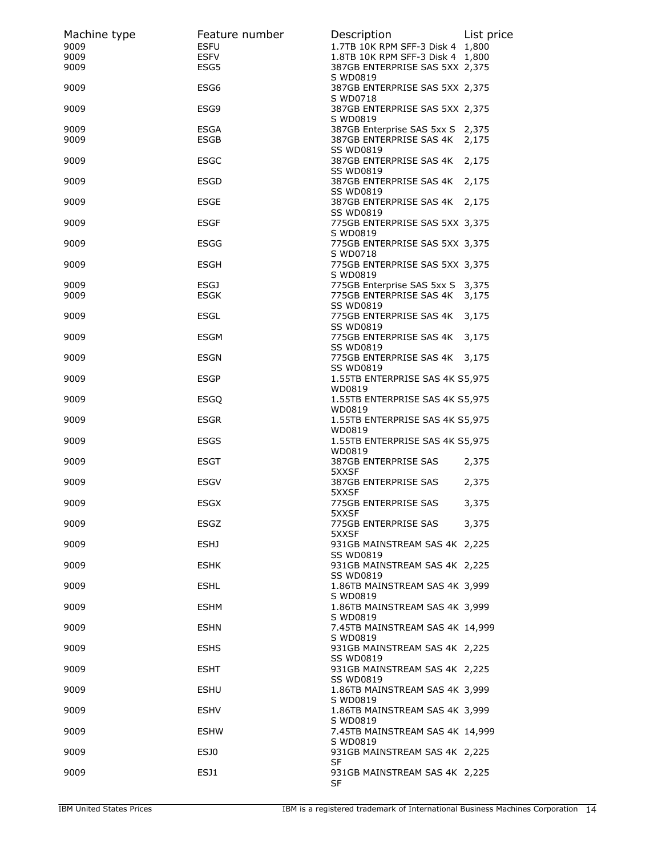| Machine type | Feature number      | Description                                                        | List price |
|--------------|---------------------|--------------------------------------------------------------------|------------|
| 9009         | <b>ESFU</b>         | 1.7TB 10K RPM SFF-3 Disk 4 1,800                                   |            |
| 9009<br>9009 | <b>ESFV</b><br>ESG5 | 1.8TB 10K RPM SFF-3 Disk 4 1,800<br>387GB ENTERPRISE SAS 5XX 2,375 |            |
| 9009         | ESG <sub>6</sub>    | S WD0819<br>387GB ENTERPRISE SAS 5XX 2,375                         |            |
| 9009         | ESG9                | S WD0718<br>387GB ENTERPRISE SAS 5XX 2,375<br>S WD0819             |            |
| 9009<br>9009 | <b>ESGA</b><br>ESGB | 387GB Enterprise SAS 5xx S 2,375<br>387GB ENTERPRISE SAS 4K        | 2,175      |
| 9009         | <b>ESGC</b>         | <b>SS WD0819</b><br>387GB ENTERPRISE SAS 4K<br><b>SS WD0819</b>    | 2,175      |
| 9009         | <b>ESGD</b>         | 387GB ENTERPRISE SAS 4K<br><b>SS WD0819</b>                        | 2,175      |
| 9009         | <b>ESGE</b>         | 387GB ENTERPRISE SAS 4K 2,175<br><b>SS WD0819</b>                  |            |
| 9009         | <b>ESGF</b>         | 775GB ENTERPRISE SAS 5XX 3,375<br>S WD0819                         |            |
| 9009         | <b>ESGG</b>         | 775GB ENTERPRISE SAS 5XX 3,375<br>S WD0718                         |            |
| 9009         | <b>ESGH</b>         | 775GB ENTERPRISE SAS 5XX 3,375<br>S WD0819                         |            |
| 9009         | ESGJ<br><b>ESGK</b> | 775GB Enterprise SAS 5xx S 3,375                                   |            |
| 9009         |                     | 775GB ENTERPRISE SAS 4K<br><b>SS WD0819</b>                        | 3,175      |
| 9009         | <b>ESGL</b>         | 775GB ENTERPRISE SAS 4K                                            | 3,175      |
| 9009         | ESGM                | <b>SS WD0819</b><br>775GB ENTERPRISE SAS 4K<br><b>SS WD0819</b>    | 3,175      |
| 9009         | <b>ESGN</b>         | 775GB ENTERPRISE SAS 4K 3,175<br><b>SS WD0819</b>                  |            |
| 9009         | <b>ESGP</b>         | 1.55TB ENTERPRISE SAS 4K S5,975<br>WD0819                          |            |
| 9009         | <b>ESGQ</b>         | 1.55TB ENTERPRISE SAS 4K S5,975<br>WD0819                          |            |
| 9009         | <b>ESGR</b>         | 1.55TB ENTERPRISE SAS 4K S5,975<br>WD0819                          |            |
| 9009         | <b>ESGS</b>         | 1.55TB ENTERPRISE SAS 4K S5,975<br>WD0819                          |            |
| 9009         | <b>ESGT</b>         | 387GB ENTERPRISE SAS<br>5XXSF                                      | 2,375      |
| 9009         | <b>ESGV</b>         | 387GB ENTERPRISE SAS<br>5XXSF                                      | 2,375      |
| 9009         | <b>ESGX</b>         | 775GB ENTERPRISE SAS<br>5XXSF                                      | 3,375      |
| 9009         | ESGZ                | 775GB ENTERPRISE SAS<br>5XXSF                                      | 3,375      |
| 9009         | ESHJ                | 931GB MAINSTREAM SAS 4K 2,225<br><b>SS WD0819</b>                  |            |
| 9009         | <b>ESHK</b>         | 931GB MAINSTREAM SAS 4K 2,225<br><b>SS WD0819</b>                  |            |
| 9009         | <b>ESHL</b>         | 1.86TB MAINSTREAM SAS 4K 3,999<br>S WD0819                         |            |
| 9009         | ESHM                | 1.86TB MAINSTREAM SAS 4K 3,999<br>S WD0819                         |            |
| 9009         | <b>ESHN</b>         | 7.45TB MAINSTREAM SAS 4K 14,999<br>S WD0819                        |            |
| 9009         | <b>ESHS</b>         | 931GB MAINSTREAM SAS 4K 2,225<br><b>SS WD0819</b>                  |            |
| 9009         | ESHT                | 931GB MAINSTREAM SAS 4K 2,225<br><b>SS WD0819</b>                  |            |
| 9009         | <b>ESHU</b>         | 1.86TB MAINSTREAM SAS 4K 3,999<br>S WD0819                         |            |
| 9009         | <b>ESHV</b>         | 1.86TB MAINSTREAM SAS 4K 3,999<br>S WD0819                         |            |
| 9009         | <b>ESHW</b>         | 7.45TB MAINSTREAM SAS 4K 14,999<br>S WD0819                        |            |
| 9009         | ESJ0                | 931GB MAINSTREAM SAS 4K 2,225<br>SF                                |            |
| 9009         | ESJ1                | 931GB MAINSTREAM SAS 4K 2,225<br>SF                                |            |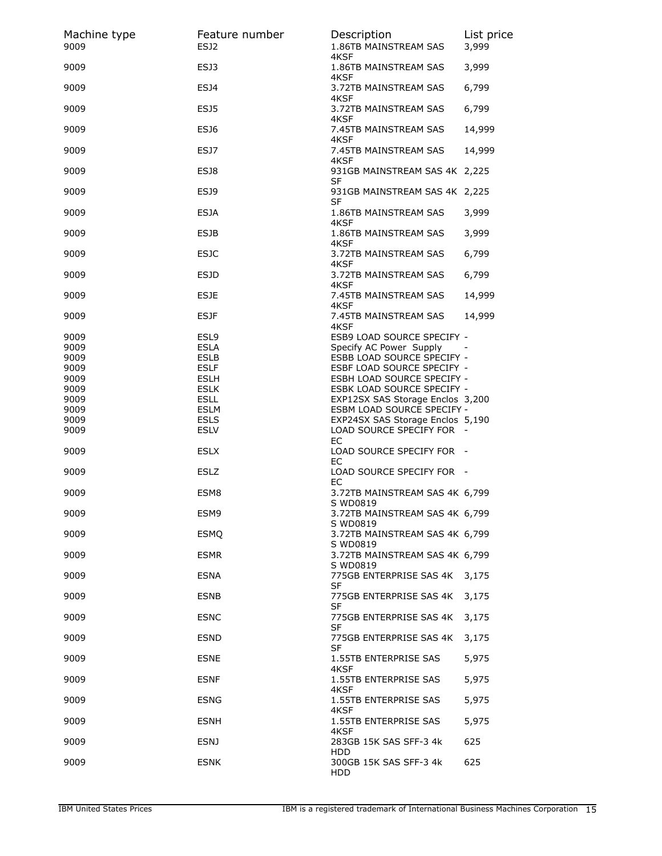| Machine type<br>9009 | Feature number<br><b>ESJ2</b> | Description<br>1.86TB MAINSTREAM SAS<br>4KSF                  | List price<br>3,999 |
|----------------------|-------------------------------|---------------------------------------------------------------|---------------------|
| 9009                 | ESJ3                          | 1.86TB MAINSTREAM SAS<br>4KSF                                 | 3,999               |
| 9009                 | ESJ4                          | 3.72TB MAINSTREAM SAS<br>4KSF                                 | 6,799               |
| 9009                 | ESJ5                          | 3.72TB MAINSTREAM SAS<br>4KSF                                 | 6,799               |
| 9009                 | ESJ6                          | 7.45TB MAINSTREAM SAS<br>4KSF                                 | 14,999              |
| 9009                 | ESJ7                          | 7.45TB MAINSTREAM SAS<br>4KSF                                 | 14,999              |
| 9009                 | ESJ8                          | 931GB MAINSTREAM SAS 4K 2,225<br><b>SF</b>                    |                     |
| 9009                 | ESJ9                          | 931GB MAINSTREAM SAS 4K 2,225<br><b>SF</b>                    |                     |
| 9009                 | <b>ESJA</b>                   | 1.86TB MAINSTREAM SAS<br>4KSF                                 | 3,999               |
| 9009                 | <b>ESJB</b>                   | 1.86TB MAINSTREAM SAS<br>4KSF                                 | 3,999               |
| 9009                 | <b>ESJC</b>                   | 3.72TB MAINSTREAM SAS<br>4KSF                                 | 6,799               |
| 9009                 | <b>ESJD</b>                   | 3.72TB MAINSTREAM SAS<br>4KSF                                 | 6,799               |
| 9009                 | ESJE                          | 7.45TB MAINSTREAM SAS<br>4KSF                                 | 14,999              |
| 9009                 | <b>ESJF</b>                   | 7.45TB MAINSTREAM SAS<br>4KSF                                 | 14,999              |
| 9009<br>9009         | ESL9<br><b>ESLA</b>           | ESB9 LOAD SOURCE SPECIFY -<br>Specify AC Power Supply         |                     |
| 9009                 | <b>ESLB</b>                   | ESBB LOAD SOURCE SPECIFY -                                    |                     |
| 9009                 | <b>ESLF</b>                   | ESBF LOAD SOURCE SPECIFY -                                    |                     |
| 9009                 | <b>ESLH</b>                   | ESBH LOAD SOURCE SPECIFY -                                    |                     |
| 9009                 | <b>ESLK</b>                   | ESBK LOAD SOURCE SPECIFY -                                    |                     |
| 9009                 | <b>ESLL</b>                   | EXP12SX SAS Storage Enclos 3,200                              |                     |
| 9009                 | <b>ESLM</b>                   | ESBM LOAD SOURCE SPECIFY -                                    |                     |
| 9009<br>9009         | <b>ESLS</b><br><b>ESLV</b>    | EXP24SX SAS Storage Enclos 5,190<br>LOAD SOURCE SPECIFY FOR - |                     |
| 9009                 | <b>ESLX</b>                   | EC<br>LOAD SOURCE SPECIFY FOR -                               |                     |
| 9009                 | <b>ESLZ</b>                   | ЕC<br>LOAD SOURCE SPECIFY FOR -                               |                     |
| 9009                 | ESM8                          | EС<br>3.72TB MAINSTREAM SAS 4K 6,799                          |                     |
| 9009                 | ESM9                          | S WD0819<br>3.72TB MAINSTREAM SAS 4K 6,799                    |                     |
| 9009                 | <b>ESMQ</b>                   | S WD0819<br>3.72TB MAINSTREAM SAS 4K 6,799                    |                     |
| 9009                 | <b>ESMR</b>                   | S WD0819<br>3.72TB MAINSTREAM SAS 4K 6,799                    |                     |
| 9009                 | <b>ESNA</b>                   | S WD0819<br>775GB ENTERPRISE SAS 4K                           | 3,175               |
| 9009                 | <b>ESNB</b>                   | SF<br>775GB ENTERPRISE SAS 4K                                 | 3,175               |
| 9009                 | <b>ESNC</b>                   | SF<br>775GB ENTERPRISE SAS 4K<br><b>SF</b>                    | 3,175               |
| 9009                 | <b>ESND</b>                   | 775GB ENTERPRISE SAS 4K<br>SF                                 | 3,175               |
| 9009                 | <b>ESNE</b>                   | 1.55TB ENTERPRISE SAS<br>4KSF                                 | 5,975               |
| 9009                 | <b>ESNF</b>                   | 1.55TB ENTERPRISE SAS<br>4KSF                                 | 5,975               |
| 9009                 | <b>ESNG</b>                   | 1.55TB ENTERPRISE SAS<br>4KSF                                 | 5,975               |
| 9009                 | <b>ESNH</b>                   | 1.55TB ENTERPRISE SAS<br>4KSF                                 | 5,975               |
| 9009                 | <b>ESNJ</b>                   | 283GB 15K SAS SFF-3 4k<br><b>HDD</b>                          | 625                 |
| 9009                 | <b>ESNK</b>                   | 300GB 15K SAS SFF-3 4k<br>HDD                                 | 625                 |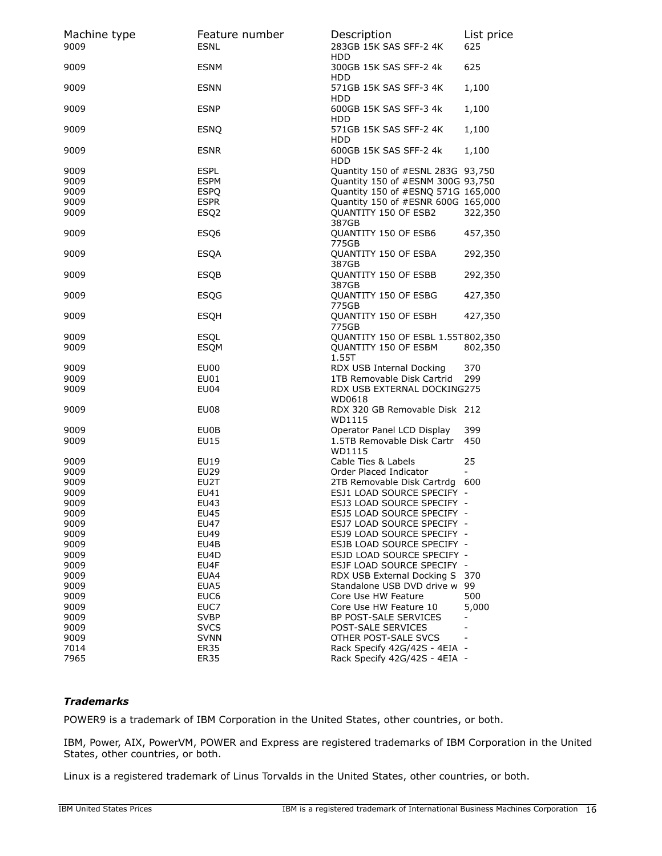| Machine type<br>9009 | Feature number<br><b>ESNL</b> | Description<br>283GB 15K SAS SFF-2 4K                              | List price<br>625        |
|----------------------|-------------------------------|--------------------------------------------------------------------|--------------------------|
| 9009                 | <b>ESNM</b>                   | <b>HDD</b><br>300GB 15K SAS SFF-2 4k                               | 625                      |
| 9009                 | <b>ESNN</b>                   | <b>HDD</b><br>571GB 15K SAS SFF-3 4K<br><b>HDD</b>                 | 1,100                    |
| 9009                 | <b>ESNP</b>                   | 600GB 15K SAS SFF-3 4k<br><b>HDD</b>                               | 1,100                    |
| 9009                 | <b>ESNQ</b>                   | 571GB 15K SAS SFF-2 4K<br><b>HDD</b>                               | 1,100                    |
| 9009                 | <b>ESNR</b>                   | 600GB 15K SAS SFF-2 4k<br><b>HDD</b>                               | 1,100                    |
| 9009                 | <b>ESPL</b>                   | Quantity 150 of #ESNL 283G 93,750                                  |                          |
| 9009                 | <b>ESPM</b>                   | Quantity 150 of #ESNM 300G 93,750                                  |                          |
| 9009                 | <b>ESPQ</b>                   | Quantity 150 of #ESNQ 571G 165,000                                 |                          |
| 9009                 | <b>ESPR</b>                   | Quantity 150 of #ESNR 600G 165,000                                 |                          |
| 9009                 | ESQ <sub>2</sub>              | QUANTITY 150 OF ESB2<br>387GB                                      | 322,350                  |
| 9009                 | ESQ6                          | QUANTITY 150 OF ESB6<br>775GB                                      | 457,350                  |
| 9009                 | <b>ESQA</b>                   | QUANTITY 150 OF ESBA<br>387GB                                      | 292,350                  |
| 9009                 | <b>ESQB</b>                   | QUANTITY 150 OF ESBB<br>387GB                                      | 292,350                  |
| 9009                 | <b>ESQG</b>                   | QUANTITY 150 OF ESBG<br>775GB                                      | 427,350                  |
| 9009                 | <b>ESQH</b>                   | QUANTITY 150 OF ESBH<br>775GB                                      | 427,350                  |
| 9009<br>9009         | <b>ESOL</b><br><b>ESQM</b>    | QUANTITY 150 OF ESBL 1.55T802,350<br>QUANTITY 150 OF ESBM<br>1.55T | 802,350                  |
| 9009                 | EU00                          | RDX USB Internal Docking                                           | 370                      |
| 9009                 | <b>EU01</b>                   | 1TB Removable Disk Cartrid                                         | 299                      |
| 9009                 | EU04                          | RDX USB EXTERNAL DOCKING275<br>WD0618                              |                          |
| 9009                 | EU08                          | RDX 320 GB Removable Disk 212<br>WD1115                            |                          |
| 9009<br>9009         | EU0B<br>EU15                  | Operator Panel LCD Display<br>1.5TB Removable Disk Cartr           | 399<br>450               |
|                      |                               | WD1115                                                             |                          |
| 9009                 | EU19                          | Cable Ties & Labels                                                | 25                       |
| 9009                 | EU29                          | Order Placed Indicator                                             | $\overline{a}$           |
| 9009                 | EU2T                          | 2TB Removable Disk Cartrdg 600                                     |                          |
| 9009                 | EU41                          | ESJ1 LOAD SOURCE SPECIFY -                                         |                          |
| 9009                 | EU43                          | ESJ3 LOAD SOURCE SPECIFY -                                         |                          |
| 9009                 | EU45                          | ESJ5 LOAD SOURCE SPECIFY -                                         |                          |
| 9009                 | EU47                          | ESJ7 LOAD SOURCE SPECIFY -                                         |                          |
| 9009                 | EU49                          | ESJ9 LOAD SOURCE SPECIFY -                                         |                          |
| 9009                 | EU4B                          | ESJB LOAD SOURCE SPECIFY -                                         |                          |
| 9009                 | EU4D                          | ESJD LOAD SOURCE SPECIFY -                                         |                          |
| 9009                 | EU4F                          | ESJF LOAD SOURCE SPECIFY -                                         |                          |
| 9009                 | EUA4                          | RDX USB External Docking S                                         | 370                      |
| 9009                 | EUA5                          | Standalone USB DVD drive w                                         | 99                       |
| 9009                 | EUC <sub>6</sub>              | Core Use HW Feature                                                | 500                      |
| 9009                 | EUC7                          | Core Use HW Feature 10                                             | 5,000                    |
| 9009                 | <b>SVBP</b>                   | BP POST-SALE SERVICES                                              | $\overline{\phantom{0}}$ |
|                      |                               |                                                                    |                          |
| 9009                 | <b>SVCS</b>                   | POST-SALE SERVICES                                                 |                          |
| 9009                 | <b>SVNN</b>                   | OTHER POST-SALE SVCS                                               |                          |
| 7014                 | <b>ER35</b>                   | Rack Specify 42G/42S - 4EIA -                                      |                          |
| 7965                 | <b>ER35</b>                   | Rack Specify 42G/42S - 4EIA -                                      |                          |

## *Trademarks*

POWER9 is a trademark of IBM Corporation in the United States, other countries, or both.

IBM, Power, AIX, PowerVM, POWER and Express are registered trademarks of IBM Corporation in the United States, other countries, or both.

Linux is a registered trademark of Linus Torvalds in the United States, other countries, or both.